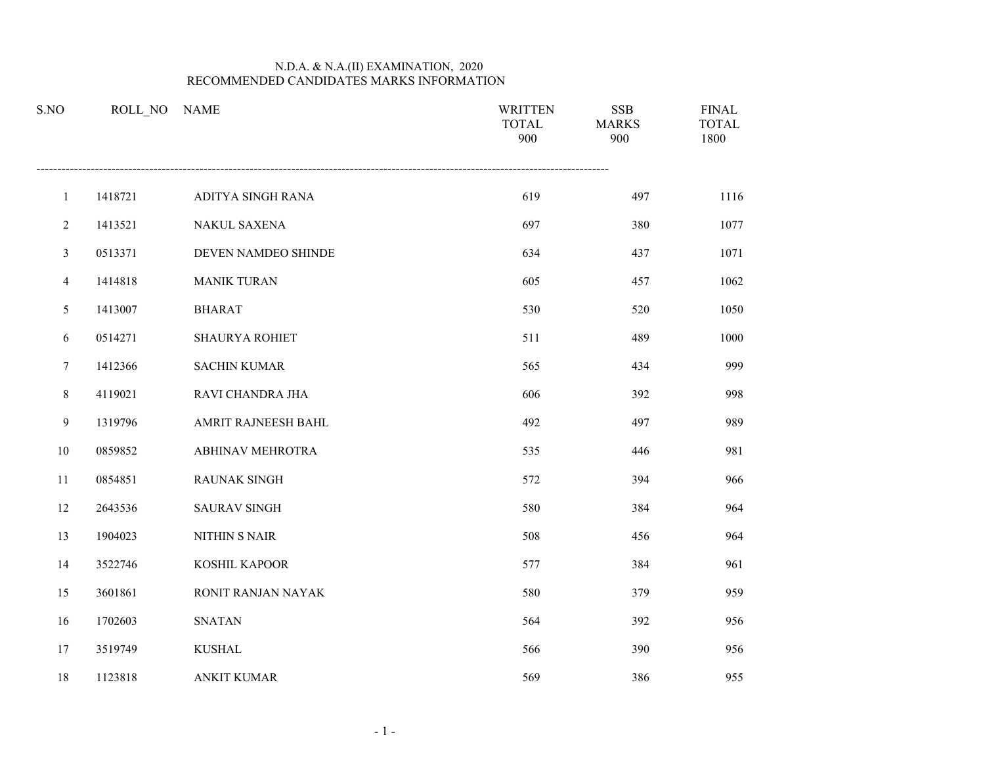| S.NO           | ROLL_NO | <b>NAME</b>           | <b>WRITTEN</b><br><b>TOTAL</b><br>900 | <b>SSB</b><br><b>MARKS</b><br>900 | <b>FINAL</b><br><b>TOTAL</b><br>1800 |
|----------------|---------|-----------------------|---------------------------------------|-----------------------------------|--------------------------------------|
| $\mathbf{1}$   | 1418721 | ADITYA SINGH RANA     | 619                                   | 497                               | 1116                                 |
| $\overline{2}$ | 1413521 | NAKUL SAXENA          | 697                                   | 380                               | 1077                                 |
| 3              | 0513371 | DEVEN NAMDEO SHINDE   | 634                                   | 437                               | 1071                                 |
| $\overline{4}$ | 1414818 | <b>MANIK TURAN</b>    | 605                                   | 457                               | 1062                                 |
| 5              | 1413007 | <b>BHARAT</b>         | 530                                   | 520                               | 1050                                 |
| 6              | 0514271 | <b>SHAURYA ROHIET</b> | 511                                   | 489                               | 1000                                 |
| $\tau$         | 1412366 | <b>SACHIN KUMAR</b>   | 565                                   | 434                               | 999                                  |
| 8              | 4119021 | RAVI CHANDRA JHA      | 606                                   | 392                               | 998                                  |
| 9              | 1319796 | AMRIT RAJNEESH BAHL   | 492                                   | 497                               | 989                                  |
| 10             | 0859852 | ABHINAV MEHROTRA      | 535                                   | 446                               | 981                                  |
| 11             | 0854851 | RAUNAK SINGH          | 572                                   | 394                               | 966                                  |
| 12             | 2643536 | <b>SAURAV SINGH</b>   | 580                                   | 384                               | 964                                  |
| 13             | 1904023 | NITHIN S NAIR         | 508                                   | 456                               | 964                                  |
| 14             | 3522746 | KOSHIL KAPOOR         | 577                                   | 384                               | 961                                  |
| 15             | 3601861 | RONIT RANJAN NAYAK    | 580                                   | 379                               | 959                                  |
| 16             | 1702603 | <b>SNATAN</b>         | 564                                   | 392                               | 956                                  |
| 17             | 3519749 | <b>KUSHAL</b>         | 566                                   | 390                               | 956                                  |
| 18             | 1123818 | <b>ANKIT KUMAR</b>    | 569                                   | 386                               | 955                                  |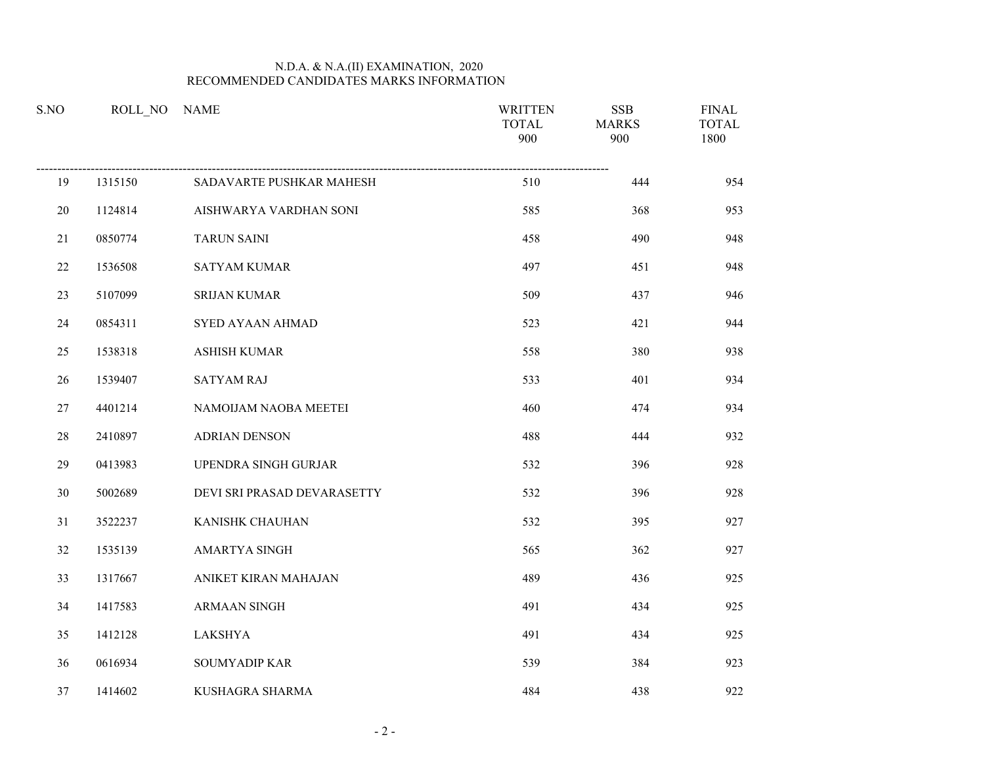| S.NO   | ROLL NO | <b>NAME</b>                 | <b>WRITTEN</b><br><b>TOTAL</b><br>900 | <b>SSB</b><br><b>MARKS</b><br>900 | <b>FINAL</b><br><b>TOTAL</b><br>1800 |
|--------|---------|-----------------------------|---------------------------------------|-----------------------------------|--------------------------------------|
| 19     | 1315150 | SADAVARTE PUSHKAR MAHESH    | 510                                   | 444                               | 954                                  |
| 20     | 1124814 | AISHWARYA VARDHAN SONI      | 585                                   | 368                               | 953                                  |
| 21     | 0850774 | <b>TARUN SAINI</b>          | 458                                   | 490                               | 948                                  |
| $22\,$ | 1536508 | <b>SATYAM KUMAR</b>         | 497                                   | 451                               | 948                                  |
| 23     | 5107099 | <b>SRIJAN KUMAR</b>         | 509                                   | 437                               | 946                                  |
| 24     | 0854311 | SYED AYAAN AHMAD            | 523                                   | 421                               | 944                                  |
| 25     | 1538318 | ASHISH KUMAR                | 558                                   | 380                               | 938                                  |
| 26     | 1539407 | <b>SATYAM RAJ</b>           | 533                                   | 401                               | 934                                  |
| $27\,$ | 4401214 | NAMOIJAM NAOBA MEETEI       | 460                                   | 474                               | 934                                  |
| 28     | 2410897 | <b>ADRIAN DENSON</b>        | 488                                   | 444                               | 932                                  |
| 29     | 0413983 | UPENDRA SINGH GURJAR        | 532                                   | 396                               | 928                                  |
| $30\,$ | 5002689 | DEVI SRI PRASAD DEVARASETTY | 532                                   | 396                               | 928                                  |
| 31     | 3522237 | KANISHK CHAUHAN             | 532                                   | 395                               | 927                                  |
| 32     | 1535139 | <b>AMARTYA SINGH</b>        | 565                                   | 362                               | 927                                  |
| 33     | 1317667 | ANIKET KIRAN MAHAJAN        | 489                                   | 436                               | 925                                  |
| 34     | 1417583 | ARMAAN SINGH                | 491                                   | 434                               | 925                                  |
| 35     | 1412128 | LAKSHYA                     | 491                                   | 434                               | 925                                  |
| 36     | 0616934 | SOUMYADIP KAR               | 539                                   | 384                               | 923                                  |
| 37     | 1414602 | KUSHAGRA SHARMA             | 484                                   | 438                               | 922                                  |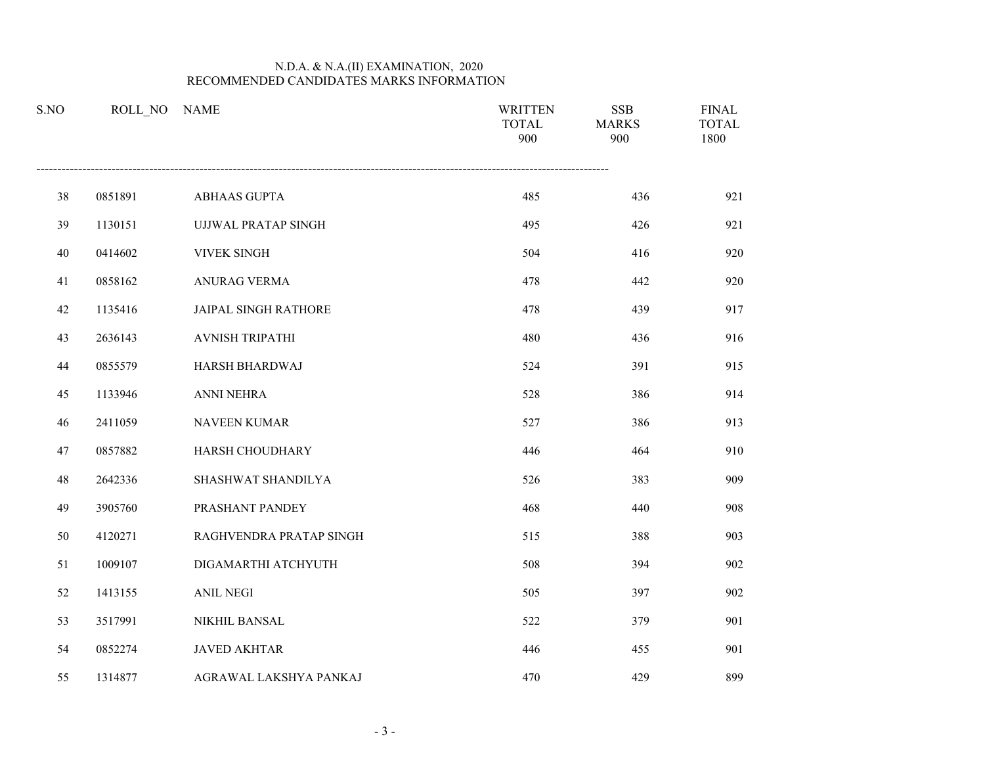| S.NO | ROLL NO | <b>NAME</b>                 | <b>WRITTEN</b><br><b>TOTAL</b><br>900 | <b>SSB</b><br><b>MARKS</b><br>900 | <b>FINAL</b><br><b>TOTAL</b><br>1800 |
|------|---------|-----------------------------|---------------------------------------|-----------------------------------|--------------------------------------|
| 38   | 0851891 | ABHAAS GUPTA                | 485                                   | 436                               | 921                                  |
| 39   | 1130151 | <b>UJJWAL PRATAP SINGH</b>  | 495                                   | 426                               | 921                                  |
| 40   | 0414602 | VIVEK SINGH                 | 504                                   | 416                               | 920                                  |
| 41   | 0858162 | ANURAG VERMA                | 478                                   | 442                               | 920                                  |
| 42   | 1135416 | <b>JAIPAL SINGH RATHORE</b> | 478                                   | 439                               | 917                                  |
| 43   | 2636143 | <b>AVNISH TRIPATHI</b>      | 480                                   | 436                               | 916                                  |
| 44   | 0855579 | HARSH BHARDWAJ              | 524                                   | 391                               | 915                                  |
| 45   | 1133946 | ANNI NEHRA                  | 528                                   | 386                               | 914                                  |
| 46   | 2411059 | NAVEEN KUMAR                | 527                                   | 386                               | 913                                  |
| 47   | 0857882 | HARSH CHOUDHARY             | 446                                   | 464                               | 910                                  |
| 48   | 2642336 | SHASHWAT SHANDILYA          | 526                                   | 383                               | 909                                  |
| 49   | 3905760 | PRASHANT PANDEY             | 468                                   | 440                               | 908                                  |
| 50   | 4120271 | RAGHVENDRA PRATAP SINGH     | 515                                   | 388                               | 903                                  |
| 51   | 1009107 | DIGAMARTHI ATCHYUTH         | 508                                   | 394                               | 902                                  |
| 52   | 1413155 | <b>ANIL NEGI</b>            | 505                                   | 397                               | 902                                  |
| 53   | 3517991 | NIKHIL BANSAL               | 522                                   | 379                               | 901                                  |
| 54   | 0852274 | <b>JAVED AKHTAR</b>         | 446                                   | 455                               | 901                                  |
| 55   | 1314877 | AGRAWAL LAKSHYA PANKAJ      | 470                                   | 429                               | 899                                  |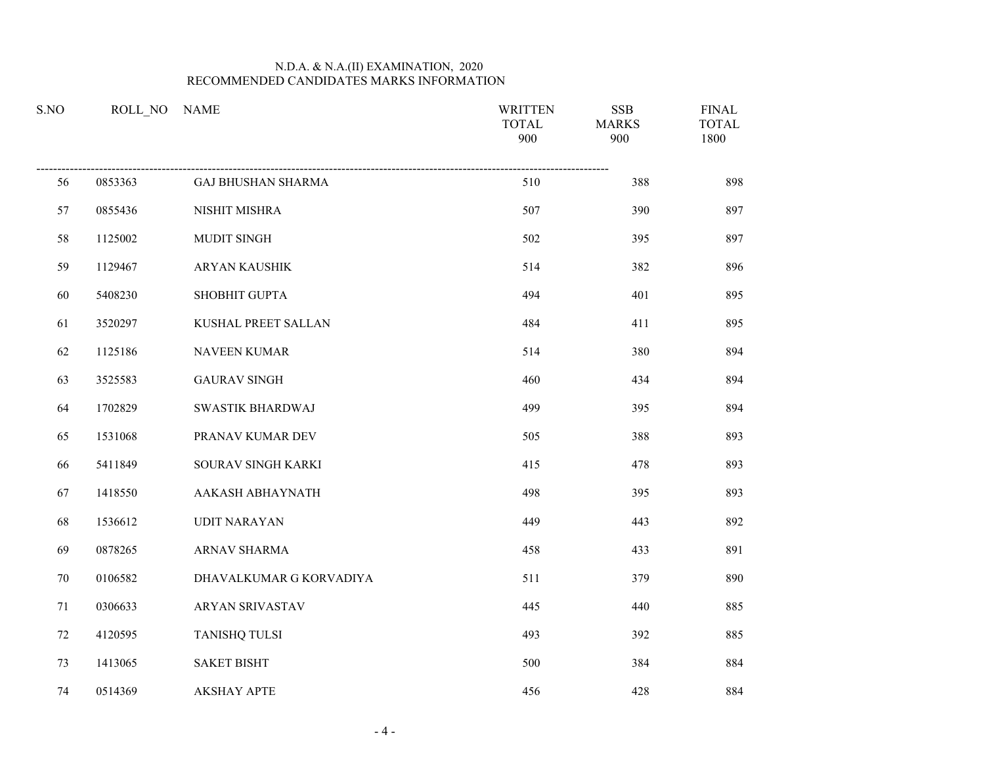| S.NO   | ROLL NO | <b>NAME</b>               | <b>WRITTEN</b><br><b>TOTAL</b><br>900 | <b>SSB</b><br><b>MARKS</b><br>900 | <b>FINAL</b><br><b>TOTAL</b><br>1800 |
|--------|---------|---------------------------|---------------------------------------|-----------------------------------|--------------------------------------|
| 56     | 0853363 | <b>GAJ BHUSHAN SHARMA</b> | 510                                   | 388                               | 898                                  |
| 57     | 0855436 | NISHIT MISHRA             | 507                                   | 390                               | 897                                  |
| 58     | 1125002 | MUDIT SINGH               | 502                                   | 395                               | 897                                  |
| 59     | 1129467 | ARYAN KAUSHIK             | 514                                   | 382                               | 896                                  |
| 60     | 5408230 | SHOBHIT GUPTA             | 494                                   | 401                               | 895                                  |
| 61     | 3520297 | KUSHAL PREET SALLAN       | 484                                   | 411                               | 895                                  |
| 62     | 1125186 | <b>NAVEEN KUMAR</b>       | 514                                   | 380                               | 894                                  |
| 63     | 3525583 | <b>GAURAV SINGH</b>       | 460                                   | 434                               | 894                                  |
| 64     | 1702829 | <b>SWASTIK BHARDWAJ</b>   | 499                                   | 395                               | 894                                  |
| 65     | 1531068 | PRANAV KUMAR DEV          | 505                                   | 388                               | 893                                  |
| 66     | 5411849 | SOURAV SINGH KARKI        | 415                                   | 478                               | 893                                  |
| 67     | 1418550 | AAKASH ABHAYNATH          | 498                                   | 395                               | 893                                  |
| 68     | 1536612 | <b>UDIT NARAYAN</b>       | 449                                   | 443                               | 892                                  |
| 69     | 0878265 | ARNAV SHARMA              | 458                                   | 433                               | 891                                  |
| $70\,$ | 0106582 | DHAVALKUMAR G KORVADIYA   | 511                                   | 379                               | 890                                  |
| 71     | 0306633 | <b>ARYAN SRIVASTAV</b>    | 445                                   | 440                               | 885                                  |
| 72     | 4120595 | <b>TANISHQ TULSI</b>      | 493                                   | 392                               | 885                                  |
| 73     | 1413065 | <b>SAKET BISHT</b>        | 500                                   | 384                               | 884                                  |
| 74     | 0514369 | <b>AKSHAY APTE</b>        | 456                                   | 428                               | 884                                  |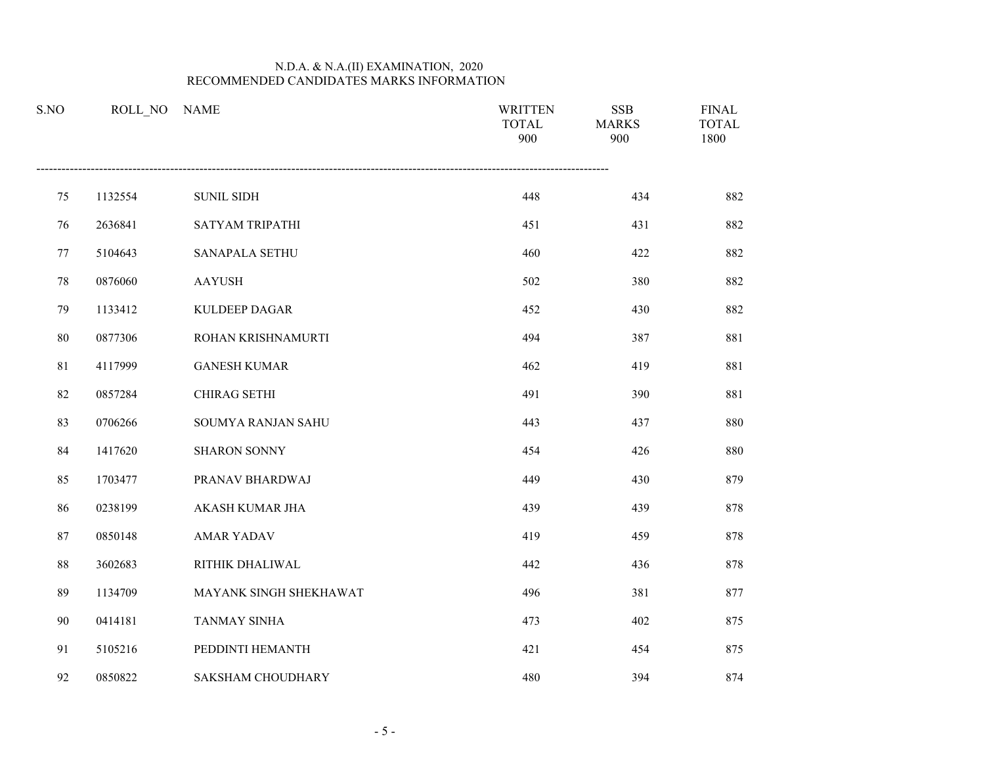| S.NO | ROLL NO | <b>NAME</b>              | <b>WRITTEN</b><br><b>TOTAL</b><br>900 | <b>SSB</b><br><b>MARKS</b><br>900 | <b>FINAL</b><br><b>TOTAL</b><br>1800 |
|------|---------|--------------------------|---------------------------------------|-----------------------------------|--------------------------------------|
| 75   | 1132554 | <b>SUNIL SIDH</b>        | 448                                   | 434                               | 882                                  |
| 76   | 2636841 | SATYAM TRIPATHI          | 451                                   | 431                               | 882                                  |
| 77   | 5104643 | SANAPALA SETHU           | 460                                   | 422                               | 882                                  |
| 78   | 0876060 | <b>AAYUSH</b>            | 502                                   | 380                               | 882                                  |
| 79   | 1133412 | <b>KULDEEP DAGAR</b>     | 452                                   | 430                               | 882                                  |
| 80   | 0877306 | ROHAN KRISHNAMURTI       | 494                                   | 387                               | 881                                  |
| 81   | 4117999 | <b>GANESH KUMAR</b>      | 462                                   | 419                               | 881                                  |
| 82   | 0857284 | <b>CHIRAG SETHI</b>      | 491                                   | 390                               | 881                                  |
| 83   | 0706266 | SOUMYA RANJAN SAHU       | 443                                   | 437                               | 880                                  |
| 84   | 1417620 | <b>SHARON SONNY</b>      | 454                                   | 426                               | 880                                  |
| 85   | 1703477 | PRANAV BHARDWAJ          | 449                                   | 430                               | 879                                  |
| 86   | 0238199 | AKASH KUMAR JHA          | 439                                   | 439                               | 878                                  |
| 87   | 0850148 | <b>AMAR YADAV</b>        | 419                                   | 459                               | 878                                  |
| 88   | 3602683 | RITHIK DHALIWAL          | 442                                   | 436                               | 878                                  |
| 89   | 1134709 | MAYANK SINGH SHEKHAWAT   | 496                                   | 381                               | 877                                  |
| 90   | 0414181 | <b>TANMAY SINHA</b>      | 473                                   | 402                               | 875                                  |
| 91   | 5105216 | PEDDINTI HEMANTH         | 421                                   | 454                               | 875                                  |
| 92   | 0850822 | <b>SAKSHAM CHOUDHARY</b> | 480                                   | 394                               | 874                                  |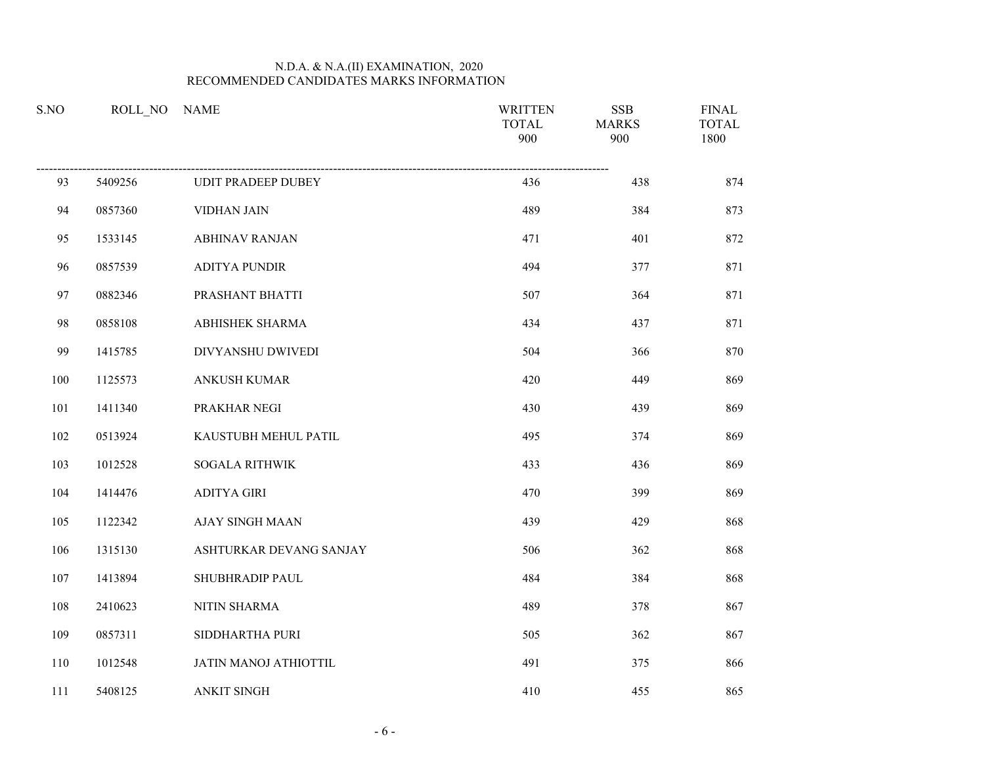| S.NO |         | ROLL NO NAME              | <b>WRITTEN</b><br><b>TOTAL</b><br>900 | <b>SSB</b><br><b>MARKS</b><br>900 | <b>FINAL</b><br><b>TOTAL</b><br>1800 |
|------|---------|---------------------------|---------------------------------------|-----------------------------------|--------------------------------------|
| 93   | 5409256 | <b>UDIT PRADEEP DUBEY</b> | 436                                   | 438                               | 874                                  |
| 94   | 0857360 | <b>VIDHAN JAIN</b>        | 489                                   | 384                               | 873                                  |
| 95   | 1533145 | <b>ABHINAV RANJAN</b>     | 471                                   | 401                               | 872                                  |
| 96   | 0857539 | <b>ADITYA PUNDIR</b>      | 494                                   | 377                               | 871                                  |
| 97   | 0882346 | PRASHANT BHATTI           | 507                                   | 364                               | 871                                  |
| 98   | 0858108 | ABHISHEK SHARMA           | 434                                   | 437                               | 871                                  |
| 99   | 1415785 | DIVYANSHU DWIVEDI         | 504                                   | 366                               | 870                                  |
| 100  | 1125573 | ANKUSH KUMAR              | 420                                   | 449                               | 869                                  |
| 101  | 1411340 | PRAKHAR NEGI              | 430                                   | 439                               | 869                                  |
| 102  | 0513924 | KAUSTUBH MEHUL PATIL      | 495                                   | 374                               | 869                                  |
| 103  | 1012528 | <b>SOGALA RITHWIK</b>     | 433                                   | 436                               | 869                                  |
| 104  | 1414476 | <b>ADITYA GIRI</b>        | 470                                   | 399                               | 869                                  |
| 105  | 1122342 | <b>AJAY SINGH MAAN</b>    | 439                                   | 429                               | 868                                  |
| 106  | 1315130 | ASHTURKAR DEVANG SANJAY   | 506                                   | 362                               | 868                                  |
| 107  | 1413894 | SHUBHRADIP PAUL           | 484                                   | 384                               | 868                                  |
| 108  | 2410623 | NITIN SHARMA              | 489                                   | 378                               | 867                                  |
| 109  | 0857311 | SIDDHARTHA PURI           | 505                                   | 362                               | 867                                  |
| 110  | 1012548 | JATIN MANOJ ATHIOTTIL     | 491                                   | 375                               | 866                                  |
| 111  | 5408125 | <b>ANKIT SINGH</b>        | 410                                   | 455                               | 865                                  |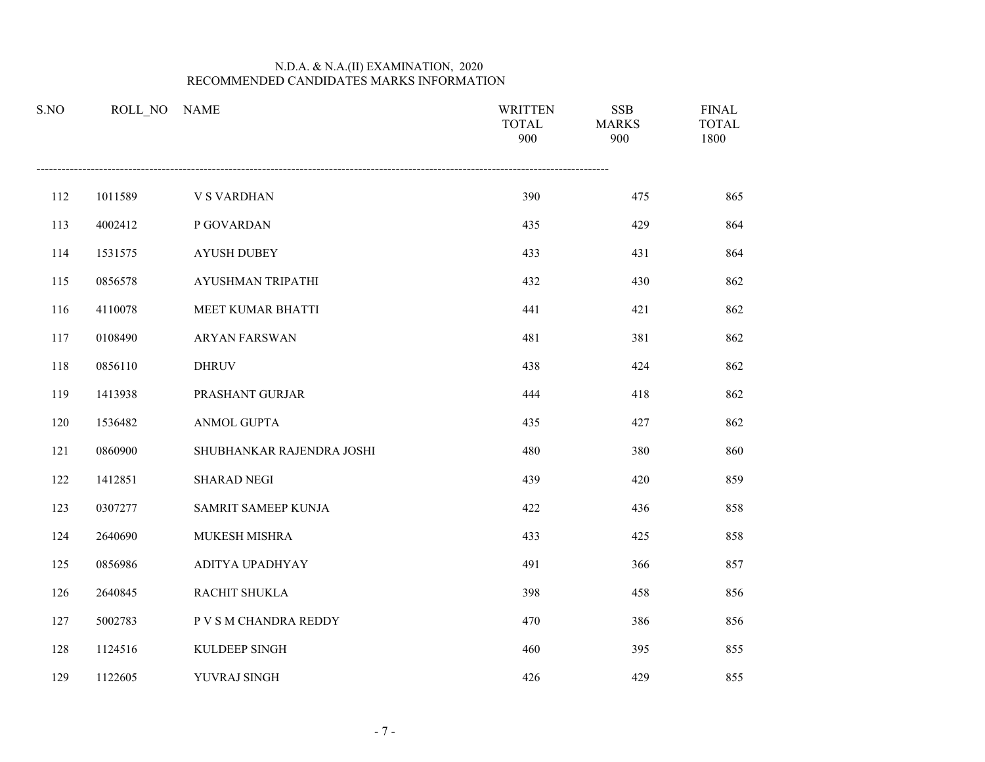| S.NO | ROLL NO | <b>NAME</b>               | <b>WRITTEN</b><br><b>TOTAL</b><br>900 | <b>SSB</b><br><b>MARKS</b><br>900 | <b>FINAL</b><br><b>TOTAL</b><br>1800 |
|------|---------|---------------------------|---------------------------------------|-----------------------------------|--------------------------------------|
| 112  | 1011589 | <b>V S VARDHAN</b>        | 390                                   | 475                               | 865                                  |
| 113  | 4002412 | P GOVARDAN                | 435                                   | 429                               | 864                                  |
| 114  | 1531575 | <b>AYUSH DUBEY</b>        | 433                                   | 431                               | 864                                  |
| 115  | 0856578 | AYUSHMAN TRIPATHI         | 432                                   | 430                               | 862                                  |
| 116  | 4110078 | MEET KUMAR BHATTI         | 441                                   | 421                               | 862                                  |
| 117  | 0108490 | <b>ARYAN FARSWAN</b>      | 481                                   | 381                               | 862                                  |
| 118  | 0856110 | <b>DHRUV</b>              | 438                                   | 424                               | 862                                  |
| 119  | 1413938 | PRASHANT GURJAR           | 444                                   | 418                               | 862                                  |
| 120  | 1536482 | ANMOL GUPTA               | 435                                   | 427                               | 862                                  |
| 121  | 0860900 | SHUBHANKAR RAJENDRA JOSHI | 480                                   | 380                               | 860                                  |
| 122  | 1412851 | <b>SHARAD NEGI</b>        | 439                                   | 420                               | 859                                  |
| 123  | 0307277 | SAMRIT SAMEEP KUNJA       | 422                                   | 436                               | 858                                  |
| 124  | 2640690 | MUKESH MISHRA             | 433                                   | 425                               | 858                                  |
| 125  | 0856986 | ADITYA UPADHYAY           | 491                                   | 366                               | 857                                  |
| 126  | 2640845 | RACHIT SHUKLA             | 398                                   | 458                               | 856                                  |
| 127  | 5002783 | P V S M CHANDRA REDDY     | 470                                   | 386                               | 856                                  |
| 128  | 1124516 | KULDEEP SINGH             | 460                                   | 395                               | 855                                  |
| 129  | 1122605 | YUVRAJ SINGH              | 426                                   | 429                               | 855                                  |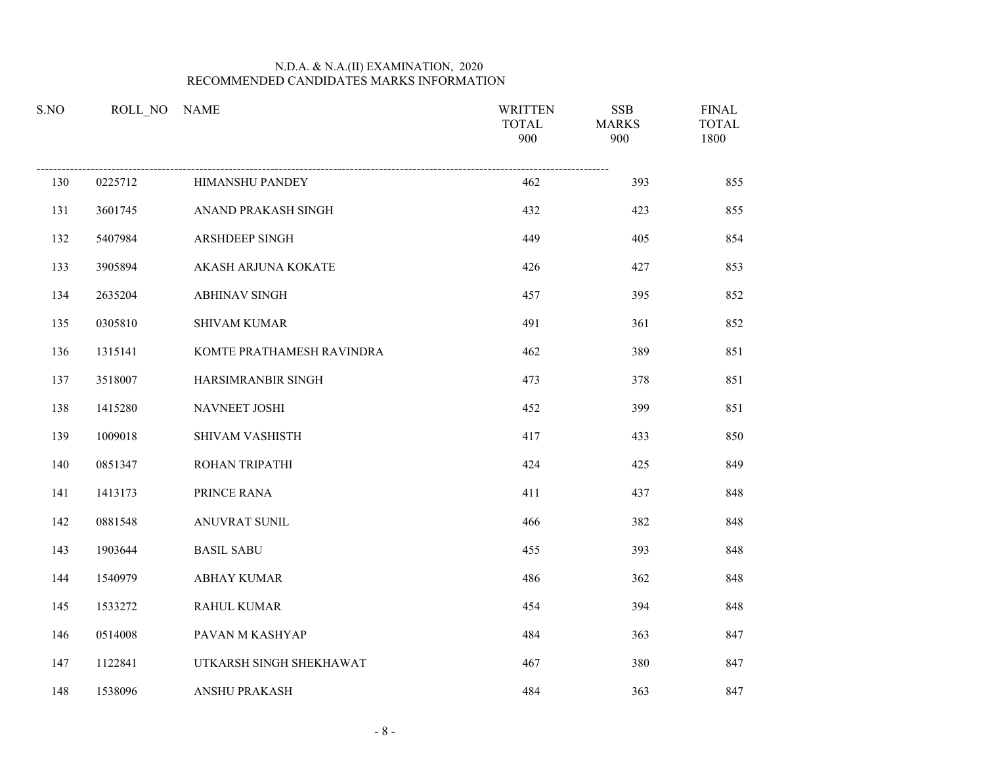| S.NO |         | ROLL_NO NAME              | <b>WRITTEN</b><br><b>TOTAL</b><br>900 | <b>SSB</b><br><b>MARKS</b><br>900 | <b>FINAL</b><br><b>TOTAL</b><br>1800 |
|------|---------|---------------------------|---------------------------------------|-----------------------------------|--------------------------------------|
| 130  | 0225712 | HIMANSHU PANDEY           | 462                                   | 393                               | 855                                  |
| 131  | 3601745 | ANAND PRAKASH SINGH       | 432                                   | 423                               | 855                                  |
| 132  | 5407984 | ARSHDEEP SINGH            | 449                                   | 405                               | 854                                  |
| 133  | 3905894 | AKASH ARJUNA KOKATE       | 426                                   | 427                               | 853                                  |
| 134  | 2635204 | <b>ABHINAV SINGH</b>      | 457                                   | 395                               | 852                                  |
| 135  | 0305810 | <b>SHIVAM KUMAR</b>       | 491                                   | 361                               | 852                                  |
| 136  | 1315141 | KOMTE PRATHAMESH RAVINDRA | 462                                   | 389                               | 851                                  |
| 137  | 3518007 | HARSIMRANBIR SINGH        | 473                                   | 378                               | 851                                  |
| 138  | 1415280 | NAVNEET JOSHI             | 452                                   | 399                               | 851                                  |
| 139  | 1009018 | SHIVAM VASHISTH           | 417                                   | 433                               | 850                                  |
| 140  | 0851347 | ROHAN TRIPATHI            | 424                                   | 425                               | 849                                  |
| 141  | 1413173 | PRINCE RANA               | 411                                   | 437                               | 848                                  |
| 142  | 0881548 | ANUVRAT SUNIL             | 466                                   | 382                               | 848                                  |
| 143  | 1903644 | <b>BASIL SABU</b>         | 455                                   | 393                               | 848                                  |
| 144  | 1540979 | <b>ABHAY KUMAR</b>        | 486                                   | 362                               | 848                                  |
| 145  | 1533272 | <b>RAHUL KUMAR</b>        | 454                                   | 394                               | 848                                  |
| 146  | 0514008 | PAVAN M KASHYAP           | 484                                   | 363                               | 847                                  |
| 147  | 1122841 | UTKARSH SINGH SHEKHAWAT   | 467                                   | 380                               | 847                                  |
| 148  | 1538096 | <b>ANSHU PRAKASH</b>      | 484                                   | 363                               | 847                                  |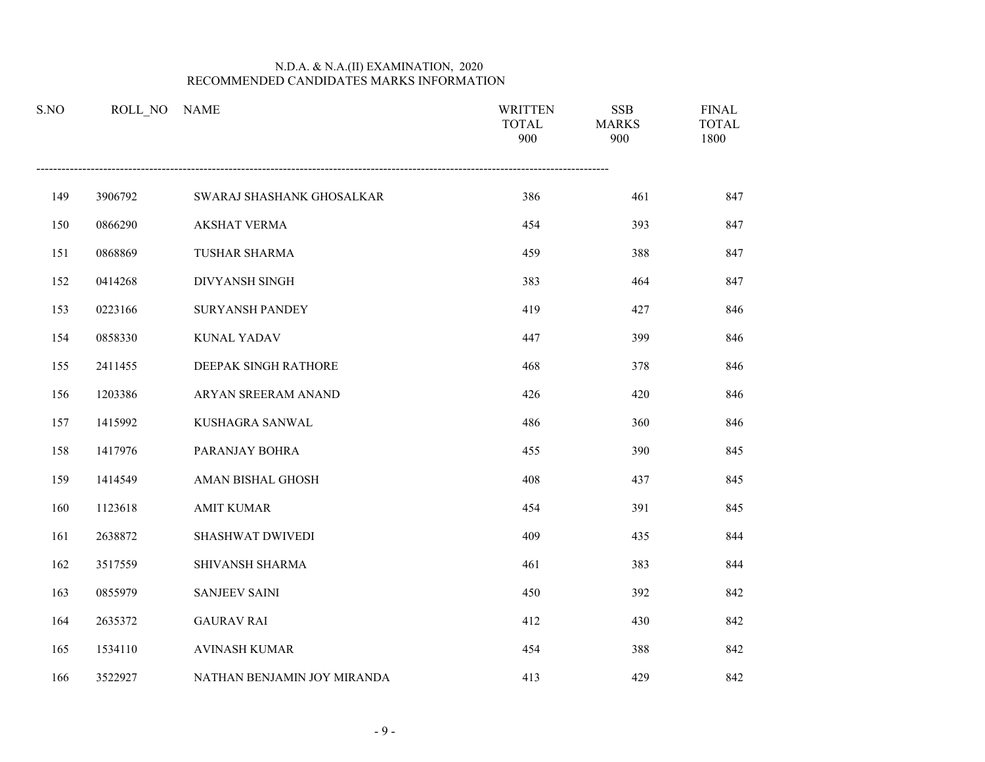| S.NO | ROLL NO | <b>NAME</b>                 | <b>WRITTEN</b><br><b>TOTAL</b><br>900 | <b>SSB</b><br><b>MARKS</b><br>900 | <b>FINAL</b><br><b>TOTAL</b><br>1800 |
|------|---------|-----------------------------|---------------------------------------|-----------------------------------|--------------------------------------|
| 149  | 3906792 | SWARAJ SHASHANK GHOSALKAR   | 386                                   | 461                               | 847                                  |
| 150  | 0866290 | <b>AKSHAT VERMA</b>         | 454                                   | 393                               | 847                                  |
| 151  | 0868869 | <b>TUSHAR SHARMA</b>        | 459                                   | 388                               | 847                                  |
| 152  | 0414268 | DIVYANSH SINGH              | 383                                   | 464                               | 847                                  |
| 153  | 0223166 | <b>SURYANSH PANDEY</b>      | 419                                   | 427                               | 846                                  |
| 154  | 0858330 | <b>KUNAL YADAV</b>          | 447                                   | 399                               | 846                                  |
| 155  | 2411455 | DEEPAK SINGH RATHORE        | 468                                   | 378                               | 846                                  |
| 156  | 1203386 | ARYAN SREERAM ANAND         | 426                                   | 420                               | 846                                  |
| 157  | 1415992 | KUSHAGRA SANWAL             | 486                                   | 360                               | 846                                  |
| 158  | 1417976 | PARANJAY BOHRA              | 455                                   | 390                               | 845                                  |
| 159  | 1414549 | AMAN BISHAL GHOSH           | 408                                   | 437                               | 845                                  |
| 160  | 1123618 | <b>AMIT KUMAR</b>           | 454                                   | 391                               | 845                                  |
| 161  | 2638872 | SHASHWAT DWIVEDI            | 409                                   | 435                               | 844                                  |
| 162  | 3517559 | SHIVANSH SHARMA             | 461                                   | 383                               | 844                                  |
| 163  | 0855979 | <b>SANJEEV SAINI</b>        | 450                                   | 392                               | 842                                  |
| 164  | 2635372 | <b>GAURAV RAI</b>           | 412                                   | 430                               | 842                                  |
| 165  | 1534110 | <b>AVINASH KUMAR</b>        | 454                                   | 388                               | 842                                  |
| 166  | 3522927 | NATHAN BENJAMIN JOY MIRANDA | 413                                   | 429                               | 842                                  |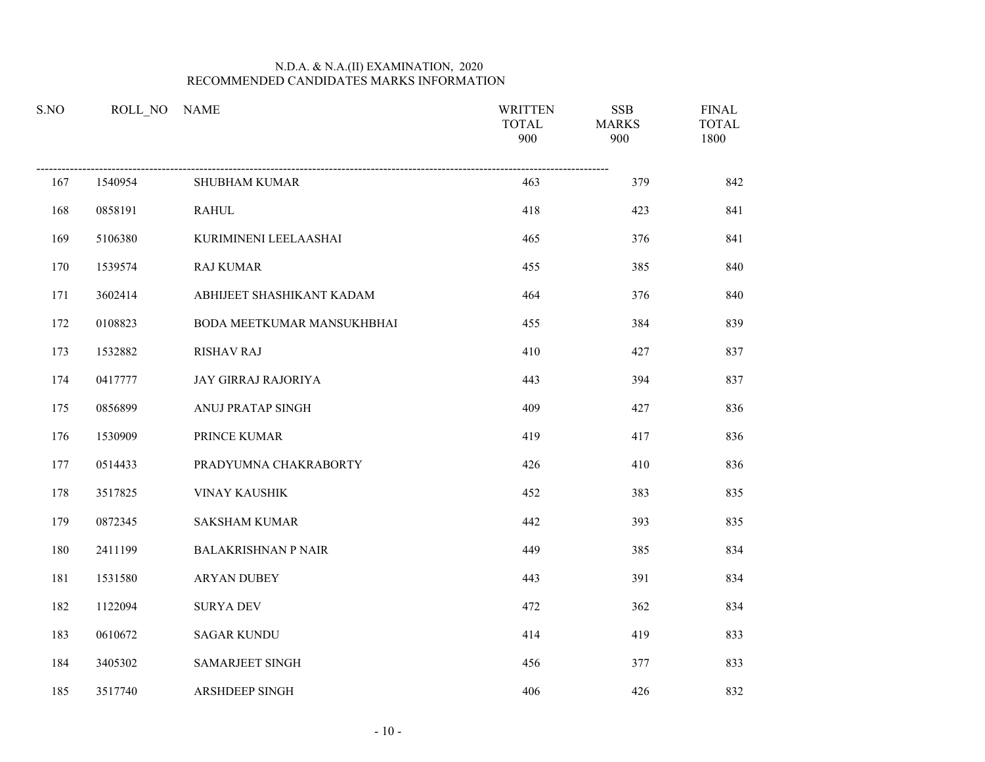| S.NO | ROLL_NO NAME |                            | <b>WRITTEN</b><br><b>TOTAL</b><br>900 | <b>SSB</b><br><b>MARKS</b><br>900 | <b>FINAL</b><br><b>TOTAL</b><br>1800 |
|------|--------------|----------------------------|---------------------------------------|-----------------------------------|--------------------------------------|
| 167  | 1540954      | <b>SHUBHAM KUMAR</b>       | 463                                   | 379                               | 842                                  |
| 168  | 0858191      | <b>RAHUL</b>               | 418                                   | 423                               | 841                                  |
| 169  | 5106380      | KURIMINENI LEELAASHAI      | 465                                   | 376                               | 841                                  |
| 170  | 1539574      | <b>RAJ KUMAR</b>           | 455                                   | 385                               | 840                                  |
| 171  | 3602414      | ABHIJEET SHASHIKANT KADAM  | 464                                   | 376                               | 840                                  |
| 172  | 0108823      | BODA MEETKUMAR MANSUKHBHAI | 455                                   | 384                               | 839                                  |
| 173  | 1532882      | <b>RISHAV RAJ</b>          | 410                                   | 427                               | 837                                  |
| 174  | 0417777      | JAY GIRRAJ RAJORIYA        | 443                                   | 394                               | 837                                  |
| 175  | 0856899      | ANUJ PRATAP SINGH          | 409                                   | 427                               | 836                                  |
| 176  | 1530909      | PRINCE KUMAR               | 419                                   | 417                               | 836                                  |
| 177  | 0514433      | PRADYUMNA CHAKRABORTY      | 426                                   | 410                               | 836                                  |
| 178  | 3517825      | <b>VINAY KAUSHIK</b>       | 452                                   | 383                               | 835                                  |
| 179  | 0872345      | <b>SAKSHAM KUMAR</b>       | 442                                   | 393                               | 835                                  |
| 180  | 2411199      | <b>BALAKRISHNAN P NAIR</b> | 449                                   | 385                               | 834                                  |
| 181  | 1531580      | ARYAN DUBEY                | 443                                   | 391                               | 834                                  |
| 182  | 1122094      | <b>SURYA DEV</b>           | 472                                   | 362                               | 834                                  |
| 183  | 0610672      | <b>SAGAR KUNDU</b>         | 414                                   | 419                               | 833                                  |
| 184  | 3405302      | SAMARJEET SINGH            | 456                                   | 377                               | 833                                  |
| 185  | 3517740      | ARSHDEEP SINGH             | 406                                   | 426                               | 832                                  |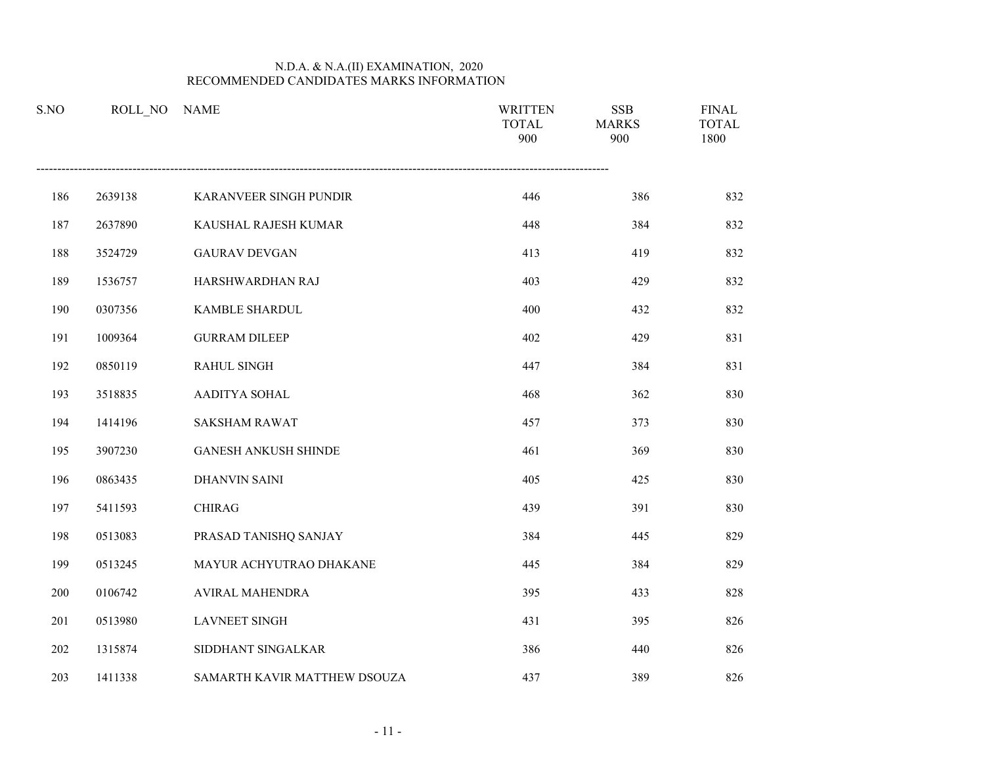| S.NO | ROLL NO | <b>NAME</b>                  | <b>WRITTEN</b><br><b>TOTAL</b><br>900 | <b>SSB</b><br><b>MARKS</b><br>900 | <b>FINAL</b><br><b>TOTAL</b><br>1800 |
|------|---------|------------------------------|---------------------------------------|-----------------------------------|--------------------------------------|
| 186  | 2639138 | KARANVEER SINGH PUNDIR       | 446                                   | 386                               | 832                                  |
| 187  | 2637890 | KAUSHAL RAJESH KUMAR         | 448                                   | 384                               | 832                                  |
| 188  | 3524729 | <b>GAURAV DEVGAN</b>         | 413                                   | 419                               | 832                                  |
| 189  | 1536757 | HARSHWARDHAN RAJ             | 403                                   | 429                               | 832                                  |
| 190  | 0307356 | KAMBLE SHARDUL               | 400                                   | 432                               | 832                                  |
| 191  | 1009364 | <b>GURRAM DILEEP</b>         | 402                                   | 429                               | 831                                  |
| 192  | 0850119 | <b>RAHUL SINGH</b>           | 447                                   | 384                               | 831                                  |
| 193  | 3518835 | AADITYA SOHAL                | 468                                   | 362                               | 830                                  |
| 194  | 1414196 | <b>SAKSHAM RAWAT</b>         | 457                                   | 373                               | 830                                  |
| 195  | 3907230 | <b>GANESH ANKUSH SHINDE</b>  | 461                                   | 369                               | 830                                  |
| 196  | 0863435 | <b>DHANVIN SAINI</b>         | 405                                   | 425                               | 830                                  |
| 197  | 5411593 | <b>CHIRAG</b>                | 439                                   | 391                               | 830                                  |
| 198  | 0513083 | PRASAD TANISHQ SANJAY        | 384                                   | 445                               | 829                                  |
| 199  | 0513245 | MAYUR ACHYUTRAO DHAKANE      | 445                                   | 384                               | 829                                  |
| 200  | 0106742 | AVIRAL MAHENDRA              | 395                                   | 433                               | 828                                  |
| 201  | 0513980 | <b>LAVNEET SINGH</b>         | 431                                   | 395                               | 826                                  |
| 202  | 1315874 | SIDDHANT SINGALKAR           | 386                                   | 440                               | 826                                  |
| 203  | 1411338 | SAMARTH KAVIR MATTHEW DSOUZA | 437                                   | 389                               | 826                                  |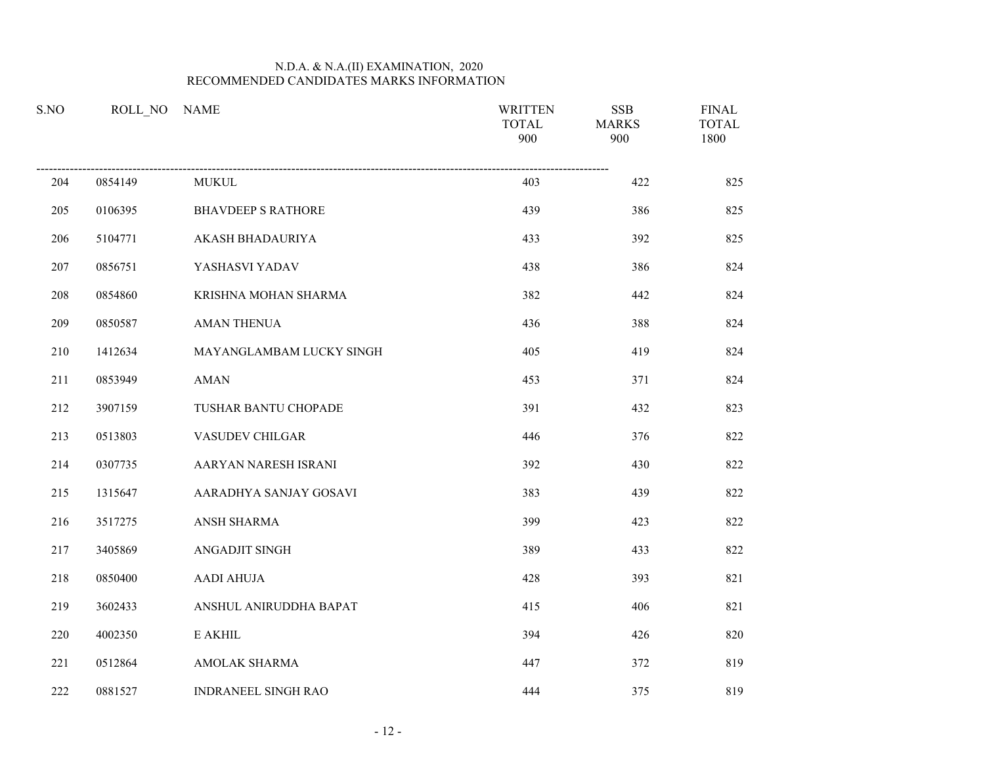| S.NO |         | ROLL NO NAME              | <b>WRITTEN</b><br><b>TOTAL</b><br>900 | <b>SSB</b><br><b>MARKS</b><br>900 | <b>FINAL</b><br><b>TOTAL</b><br>1800 |
|------|---------|---------------------------|---------------------------------------|-----------------------------------|--------------------------------------|
| 204  | 0854149 | <b>MUKUL</b>              | 403                                   | 422                               | 825                                  |
| 205  | 0106395 | <b>BHAVDEEP S RATHORE</b> | 439                                   | 386                               | 825                                  |
| 206  | 5104771 | AKASH BHADAURIYA          | 433                                   | 392                               | 825                                  |
| 207  | 0856751 | YASHASVI YADAV            | 438                                   | 386                               | 824                                  |
| 208  | 0854860 | KRISHNA MOHAN SHARMA      | 382                                   | 442                               | 824                                  |
| 209  | 0850587 | <b>AMAN THENUA</b>        | 436                                   | 388                               | 824                                  |
| 210  | 1412634 | MAYANGLAMBAM LUCKY SINGH  | 405                                   | 419                               | 824                                  |
| 211  | 0853949 | <b>AMAN</b>               | 453                                   | 371                               | 824                                  |
| 212  | 3907159 | TUSHAR BANTU CHOPADE      | 391                                   | 432                               | 823                                  |
| 213  | 0513803 | VASUDEV CHILGAR           | 446                                   | 376                               | 822                                  |
| 214  | 0307735 | AARYAN NARESH ISRANI      | 392                                   | 430                               | 822                                  |
| 215  | 1315647 | AARADHYA SANJAY GOSAVI    | 383                                   | 439                               | 822                                  |
| 216  | 3517275 | ANSH SHARMA               | 399                                   | 423                               | 822                                  |
| 217  | 3405869 | <b>ANGADJIT SINGH</b>     | 389                                   | 433                               | 822                                  |
| 218  | 0850400 | AADI AHUJA                | 428                                   | 393                               | 821                                  |
| 219  | 3602433 | ANSHUL ANIRUDDHA BAPAT    | 415                                   | 406                               | 821                                  |
| 220  | 4002350 | E AKHIL                   | 394                                   | 426                               | 820                                  |
| 221  | 0512864 | AMOLAK SHARMA             | 447                                   | 372                               | 819                                  |
| 222  | 0881527 | INDRANEEL SINGH RAO       | 444                                   | 375                               | 819                                  |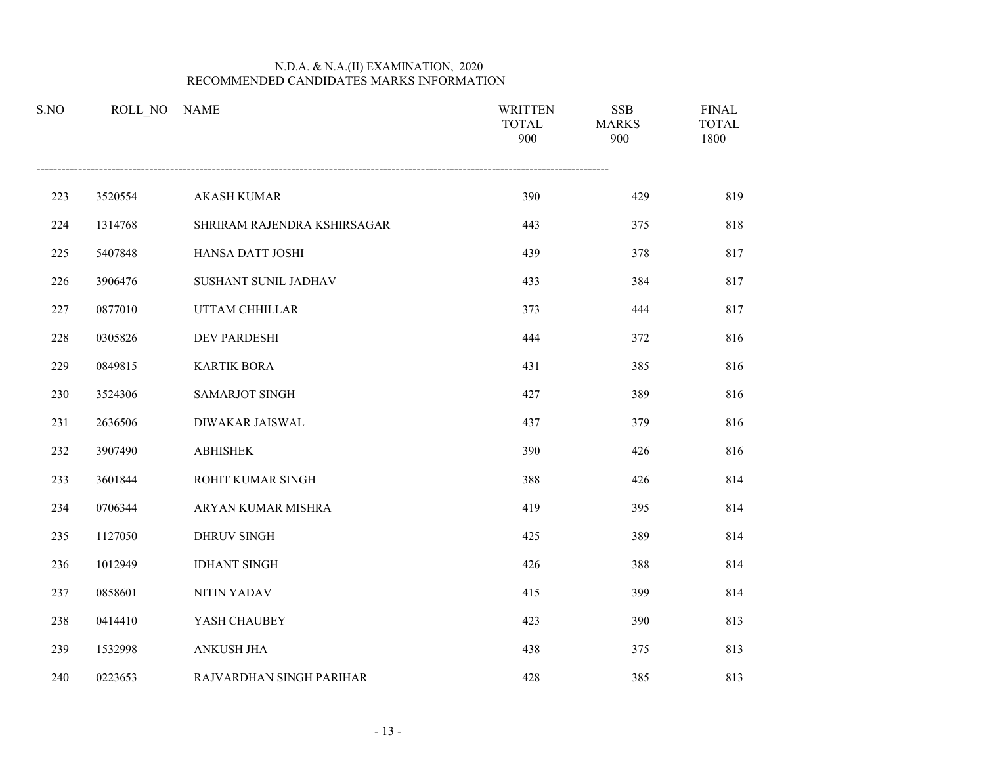| S.NO | ROLL NO | <b>NAME</b>                 | <b>WRITTEN</b><br><b>TOTAL</b><br>900 | <b>SSB</b><br><b>MARKS</b><br>900 | <b>FINAL</b><br><b>TOTAL</b><br>1800 |
|------|---------|-----------------------------|---------------------------------------|-----------------------------------|--------------------------------------|
| 223  | 3520554 | <b>AKASH KUMAR</b>          | 390                                   | 429                               | 819                                  |
| 224  | 1314768 | SHRIRAM RAJENDRA KSHIRSAGAR | 443                                   | 375                               | 818                                  |
| 225  | 5407848 | HANSA DATT JOSHI            | 439                                   | 378                               | 817                                  |
| 226  | 3906476 | SUSHANT SUNIL JADHAV        | 433                                   | 384                               | 817                                  |
| 227  | 0877010 | UTTAM CHHILLAR              | 373                                   | 444                               | 817                                  |
| 228  | 0305826 | DEV PARDESHI                | 444                                   | 372                               | 816                                  |
| 229  | 0849815 | <b>KARTIK BORA</b>          | 431                                   | 385                               | 816                                  |
| 230  | 3524306 | <b>SAMARJOT SINGH</b>       | 427                                   | 389                               | 816                                  |
| 231  | 2636506 | DIWAKAR JAISWAL             | 437                                   | 379                               | 816                                  |
| 232  | 3907490 | <b>ABHISHEK</b>             | 390                                   | 426                               | 816                                  |
| 233  | 3601844 | ROHIT KUMAR SINGH           | 388                                   | 426                               | 814                                  |
| 234  | 0706344 | ARYAN KUMAR MISHRA          | 419                                   | 395                               | 814                                  |
| 235  | 1127050 | DHRUV SINGH                 | 425                                   | 389                               | 814                                  |
| 236  | 1012949 | <b>IDHANT SINGH</b>         | 426                                   | 388                               | 814                                  |
| 237  | 0858601 | <b>NITIN YADAV</b>          | 415                                   | 399                               | 814                                  |
| 238  | 0414410 | YASH CHAUBEY                | 423                                   | 390                               | 813                                  |
| 239  | 1532998 | ANKUSH JHA                  | 438                                   | 375                               | 813                                  |
| 240  | 0223653 | RAJVARDHAN SINGH PARIHAR    | 428                                   | 385                               | 813                                  |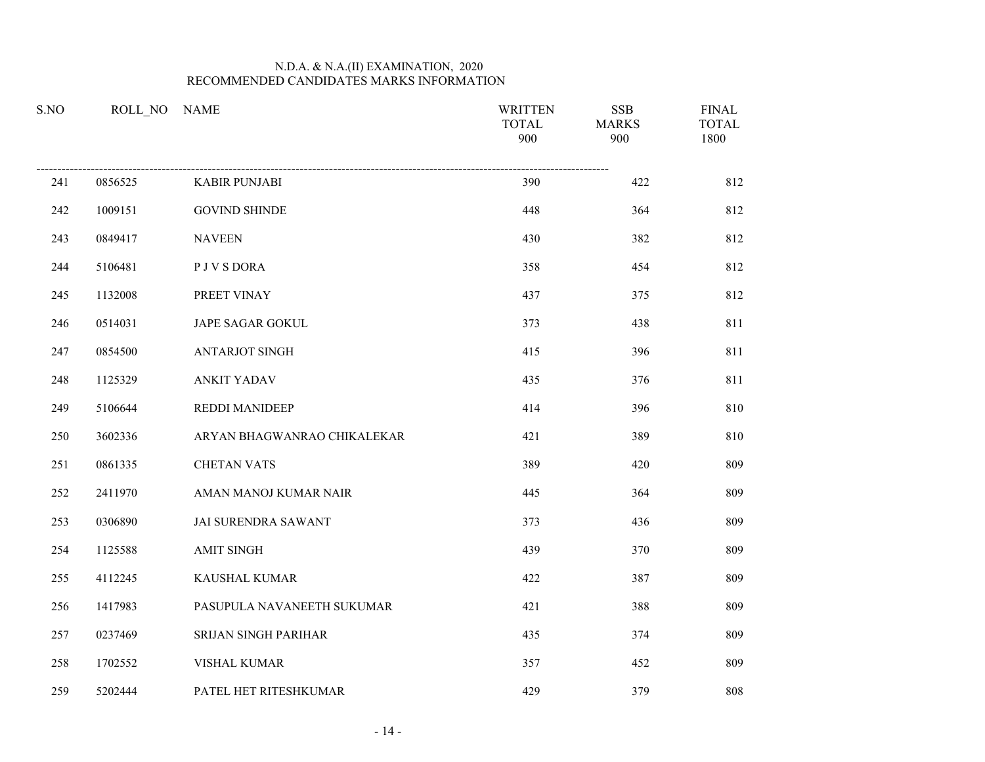| S.NO |         | ROLL NO NAME                | <b>WRITTEN</b><br><b>TOTAL</b><br>900 | <b>SSB</b><br><b>MARKS</b><br>900 | <b>FINAL</b><br><b>TOTAL</b><br>1800 |
|------|---------|-----------------------------|---------------------------------------|-----------------------------------|--------------------------------------|
| 241  | 0856525 | <b>KABIR PUNJABI</b>        | 390                                   | 422                               | 812                                  |
| 242  | 1009151 | <b>GOVIND SHINDE</b>        | 448                                   | 364                               | 812                                  |
| 243  | 0849417 | <b>NAVEEN</b>               | 430                                   | 382                               | 812                                  |
| 244  | 5106481 | P J V S DORA                | 358                                   | 454                               | 812                                  |
| 245  | 1132008 | PREET VINAY                 | 437                                   | 375                               | 812                                  |
| 246  | 0514031 | JAPE SAGAR GOKUL            | 373                                   | 438                               | 811                                  |
| 247  | 0854500 | <b>ANTARJOT SINGH</b>       | 415                                   | 396                               | 811                                  |
| 248  | 1125329 | <b>ANKIT YADAV</b>          | 435                                   | 376                               | 811                                  |
| 249  | 5106644 | REDDI MANIDEEP              | 414                                   | 396                               | 810                                  |
| 250  | 3602336 | ARYAN BHAGWANRAO CHIKALEKAR | 421                                   | 389                               | 810                                  |
| 251  | 0861335 | <b>CHETAN VATS</b>          | 389                                   | 420                               | 809                                  |
| 252  | 2411970 | AMAN MANOJ KUMAR NAIR       | 445                                   | 364                               | 809                                  |
| 253  | 0306890 | JAI SURENDRA SAWANT         | 373                                   | 436                               | 809                                  |
| 254  | 1125588 | <b>AMIT SINGH</b>           | 439                                   | 370                               | 809                                  |
| 255  | 4112245 | <b>KAUSHAL KUMAR</b>        | 422                                   | 387                               | 809                                  |
| 256  | 1417983 | PASUPULA NAVANEETH SUKUMAR  | 421                                   | 388                               | 809                                  |
| 257  | 0237469 | SRIJAN SINGH PARIHAR        | 435                                   | 374                               | 809                                  |
| 258  | 1702552 | <b>VISHAL KUMAR</b>         | 357                                   | 452                               | 809                                  |
| 259  | 5202444 | PATEL HET RITESHKUMAR       | 429                                   | 379                               | 808                                  |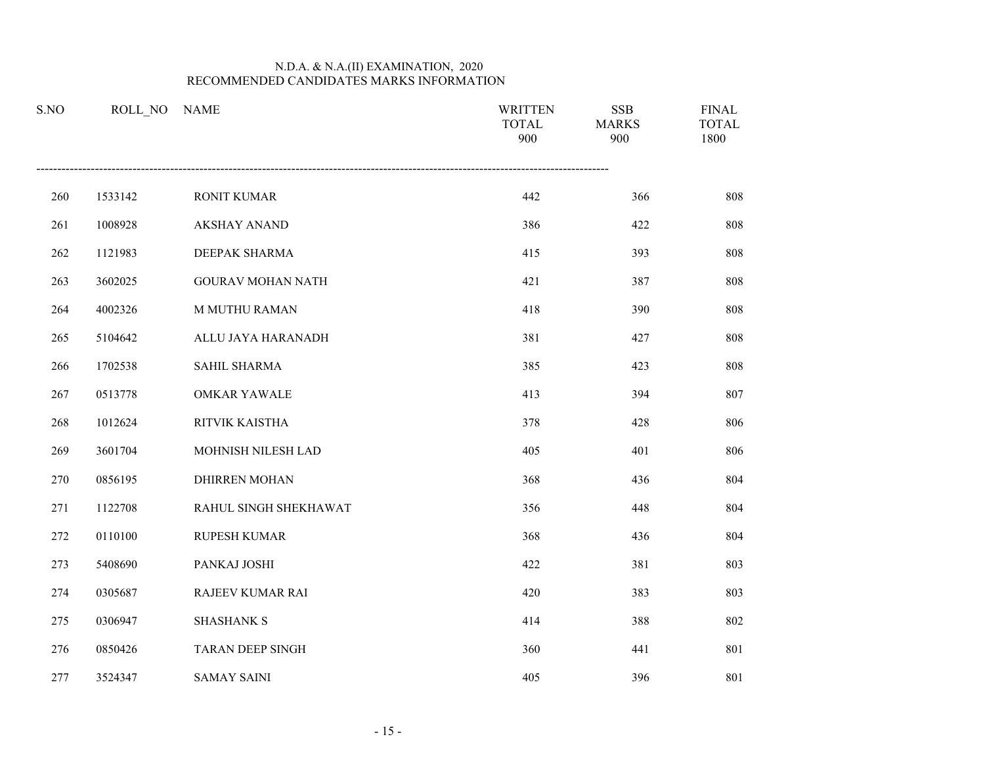| S.NO | ROLL NO | <b>NAME</b>              | <b>WRITTEN</b><br><b>TOTAL</b><br>900 | <b>SSB</b><br><b>MARKS</b><br>900 | <b>FINAL</b><br><b>TOTAL</b><br>1800 |
|------|---------|--------------------------|---------------------------------------|-----------------------------------|--------------------------------------|
| 260  | 1533142 | <b>RONIT KUMAR</b>       | 442                                   | 366                               | 808                                  |
| 261  | 1008928 | <b>AKSHAY ANAND</b>      | 386                                   | 422                               | 808                                  |
| 262  | 1121983 | DEEPAK SHARMA            | 415                                   | 393                               | 808                                  |
| 263  | 3602025 | <b>GOURAV MOHAN NATH</b> | 421                                   | 387                               | 808                                  |
| 264  | 4002326 | <b>M MUTHU RAMAN</b>     | 418                                   | 390                               | 808                                  |
| 265  | 5104642 | ALLU JAYA HARANADH       | 381                                   | 427                               | 808                                  |
| 266  | 1702538 | SAHIL SHARMA             | 385                                   | 423                               | 808                                  |
| 267  | 0513778 | <b>OMKAR YAWALE</b>      | 413                                   | 394                               | 807                                  |
| 268  | 1012624 | RITVIK KAISTHA           | 378                                   | 428                               | 806                                  |
| 269  | 3601704 | MOHNISH NILESH LAD       | 405                                   | 401                               | 806                                  |
| 270  | 0856195 | <b>DHIRREN MOHAN</b>     | 368                                   | 436                               | 804                                  |
| 271  | 1122708 | RAHUL SINGH SHEKHAWAT    | 356                                   | 448                               | 804                                  |
| 272  | 0110100 | RUPESH KUMAR             | 368                                   | 436                               | 804                                  |
| 273  | 5408690 | PANKAJ JOSHI             | 422                                   | 381                               | 803                                  |
| 274  | 0305687 | RAJEEV KUMAR RAI         | 420                                   | 383                               | 803                                  |
| 275  | 0306947 | <b>SHASHANK S</b>        | 414                                   | 388                               | 802                                  |
| 276  | 0850426 | <b>TARAN DEEP SINGH</b>  | 360                                   | 441                               | 801                                  |
| 277  | 3524347 | <b>SAMAY SAINI</b>       | 405                                   | 396                               | 801                                  |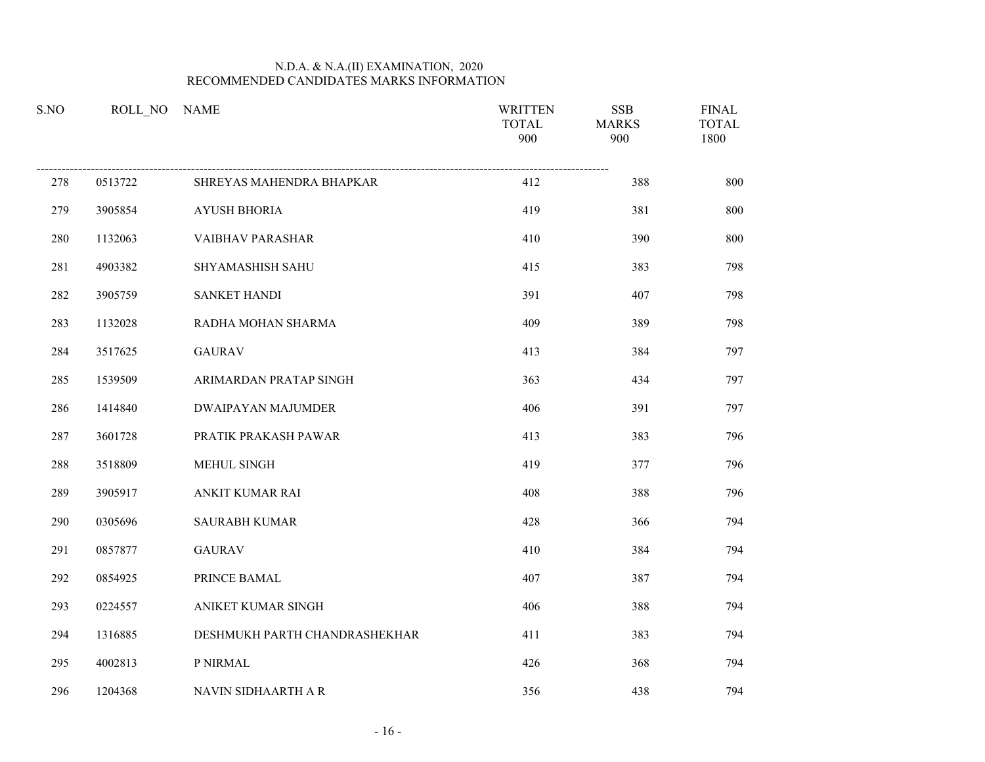| S.NO | ROLL NO | <b>NAME</b>                   | <b>WRITTEN</b><br><b>TOTAL</b><br>900 | <b>SSB</b><br><b>MARKS</b><br>900 | <b>FINAL</b><br><b>TOTAL</b><br>1800 |
|------|---------|-------------------------------|---------------------------------------|-----------------------------------|--------------------------------------|
| 278  | 0513722 | SHREYAS MAHENDRA BHAPKAR      | 412                                   | 388                               | 800                                  |
| 279  | 3905854 | <b>AYUSH BHORIA</b>           | 419                                   | 381                               | 800                                  |
| 280  | 1132063 | VAIBHAV PARASHAR              | 410                                   | 390                               | 800                                  |
| 281  | 4903382 | SHYAMASHISH SAHU              | 415                                   | 383                               | 798                                  |
| 282  | 3905759 | <b>SANKET HANDI</b>           | 391                                   | 407                               | 798                                  |
| 283  | 1132028 | RADHA MOHAN SHARMA            | 409                                   | 389                               | 798                                  |
| 284  | 3517625 | <b>GAURAV</b>                 | 413                                   | 384                               | 797                                  |
| 285  | 1539509 | ARIMARDAN PRATAP SINGH        | 363                                   | 434                               | 797                                  |
| 286  | 1414840 | DWAIPAYAN MAJUMDER            | 406                                   | 391                               | 797                                  |
| 287  | 3601728 | PRATIK PRAKASH PAWAR          | 413                                   | 383                               | 796                                  |
| 288  | 3518809 | MEHUL SINGH                   | 419                                   | 377                               | 796                                  |
| 289  | 3905917 | ANKIT KUMAR RAI               | 408                                   | 388                               | 796                                  |
| 290  | 0305696 | <b>SAURABH KUMAR</b>          | 428                                   | 366                               | 794                                  |
| 291  | 0857877 | <b>GAURAV</b>                 | 410                                   | 384                               | 794                                  |
| 292  | 0854925 | PRINCE BAMAL                  | 407                                   | 387                               | 794                                  |
| 293  | 0224557 | ANIKET KUMAR SINGH            | 406                                   | 388                               | 794                                  |
| 294  | 1316885 | DESHMUKH PARTH CHANDRASHEKHAR | 411                                   | 383                               | 794                                  |
| 295  | 4002813 | P NIRMAL                      | 426                                   | 368                               | 794                                  |
| 296  | 1204368 | NAVIN SIDHAARTH A R           | 356                                   | 438                               | 794                                  |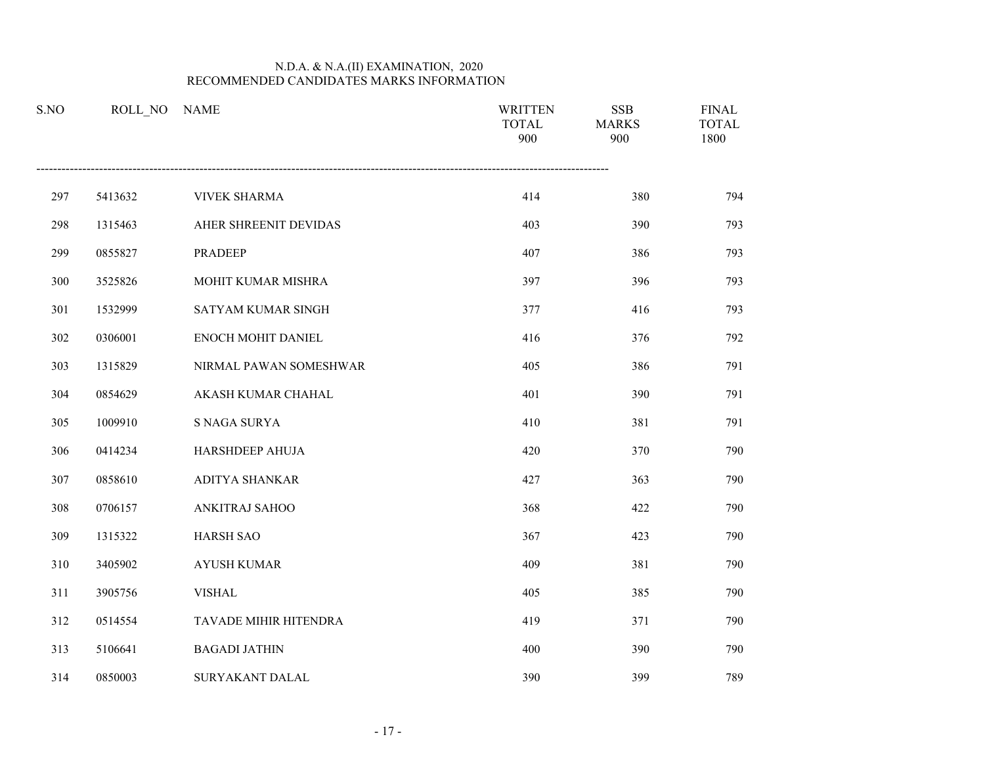| S.NO | ROLL NO | <b>NAME</b>            | <b>WRITTEN</b><br><b>TOTAL</b><br>900 | <b>SSB</b><br><b>MARKS</b><br>900 | <b>FINAL</b><br><b>TOTAL</b><br>1800 |
|------|---------|------------------------|---------------------------------------|-----------------------------------|--------------------------------------|
| 297  | 5413632 | <b>VIVEK SHARMA</b>    | 414                                   | 380                               | 794                                  |
| 298  | 1315463 | AHER SHREENIT DEVIDAS  | 403                                   | 390                               | 793                                  |
| 299  | 0855827 | <b>PRADEEP</b>         | 407                                   | 386                               | 793                                  |
| 300  | 3525826 | MOHIT KUMAR MISHRA     | 397                                   | 396                               | 793                                  |
| 301  | 1532999 | SATYAM KUMAR SINGH     | 377                                   | 416                               | 793                                  |
| 302  | 0306001 | ENOCH MOHIT DANIEL     | 416                                   | 376                               | 792                                  |
| 303  | 1315829 | NIRMAL PAWAN SOMESHWAR | 405                                   | 386                               | 791                                  |
| 304  | 0854629 | AKASH KUMAR CHAHAL     | 401                                   | 390                               | 791                                  |
| 305  | 1009910 | S NAGA SURYA           | 410                                   | 381                               | 791                                  |
| 306  | 0414234 | <b>HARSHDEEP AHUJA</b> | 420                                   | 370                               | 790                                  |
| 307  | 0858610 | ADITYA SHANKAR         | 427                                   | 363                               | 790                                  |
| 308  | 0706157 | ANKITRAJ SAHOO         | 368                                   | 422                               | 790                                  |
| 309  | 1315322 | <b>HARSH SAO</b>       | 367                                   | 423                               | 790                                  |
| 310  | 3405902 | <b>AYUSH KUMAR</b>     | 409                                   | 381                               | 790                                  |
| 311  | 3905756 | <b>VISHAL</b>          | 405                                   | 385                               | 790                                  |
| 312  | 0514554 | TAVADE MIHIR HITENDRA  | 419                                   | 371                               | 790                                  |
| 313  | 5106641 | <b>BAGADI JATHIN</b>   | 400                                   | 390                               | 790                                  |
| 314  | 0850003 | SURYAKANT DALAL        | 390                                   | 399                               | 789                                  |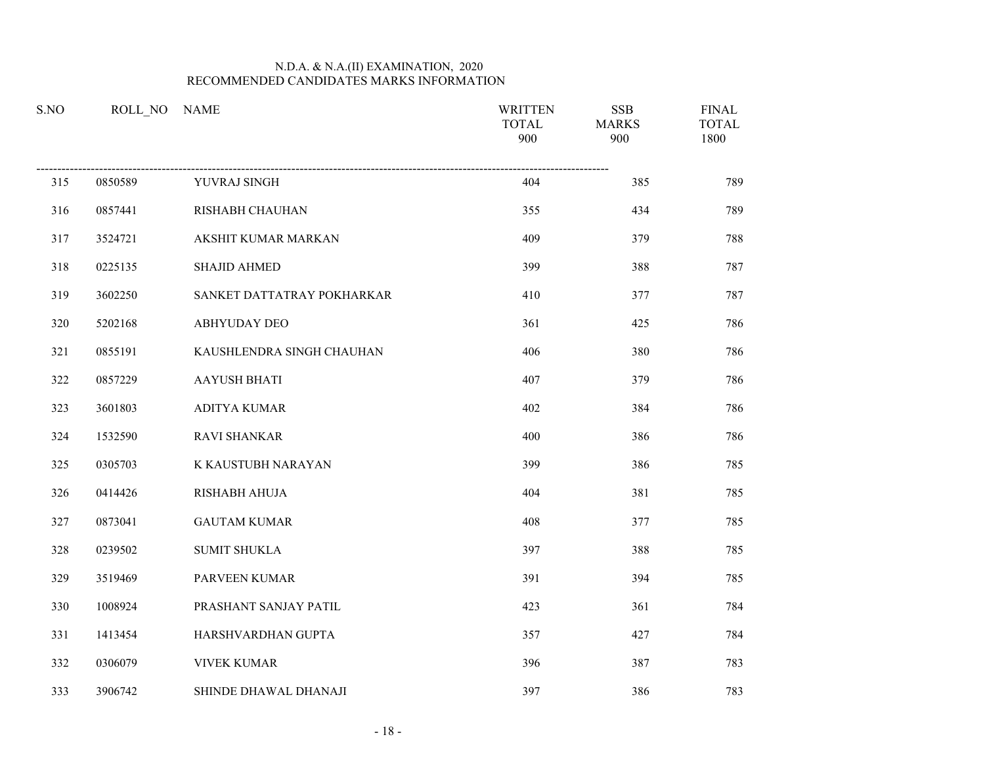| S.NO | ROLL NO | <b>NAME</b>                | <b>WRITTEN</b><br><b>TOTAL</b><br>900 | <b>SSB</b><br><b>MARKS</b><br>900 | <b>FINAL</b><br><b>TOTAL</b><br>1800 |
|------|---------|----------------------------|---------------------------------------|-----------------------------------|--------------------------------------|
| 315  | 0850589 | YUVRAJ SINGH               | 404                                   | 385                               | 789                                  |
| 316  | 0857441 | RISHABH CHAUHAN            | 355                                   | 434                               | 789                                  |
| 317  | 3524721 | AKSHIT KUMAR MARKAN        | 409                                   | 379                               | 788                                  |
| 318  | 0225135 | <b>SHAJID AHMED</b>        | 399                                   | 388                               | 787                                  |
| 319  | 3602250 | SANKET DATTATRAY POKHARKAR | 410                                   | 377                               | 787                                  |
| 320  | 5202168 | <b>ABHYUDAY DEO</b>        | 361                                   | 425                               | 786                                  |
| 321  | 0855191 | KAUSHLENDRA SINGH CHAUHAN  | 406                                   | 380                               | 786                                  |
| 322  | 0857229 | <b>AAYUSH BHATI</b>        | 407                                   | 379                               | 786                                  |
| 323  | 3601803 | <b>ADITYA KUMAR</b>        | 402                                   | 384                               | 786                                  |
| 324  | 1532590 | <b>RAVI SHANKAR</b>        | 400                                   | 386                               | 786                                  |
| 325  | 0305703 | K KAUSTUBH NARAYAN         | 399                                   | 386                               | 785                                  |
| 326  | 0414426 | RISHABH AHUJA              | 404                                   | 381                               | 785                                  |
| 327  | 0873041 | <b>GAUTAM KUMAR</b>        | 408                                   | 377                               | 785                                  |
| 328  | 0239502 | <b>SUMIT SHUKLA</b>        | 397                                   | 388                               | 785                                  |
| 329  | 3519469 | PARVEEN KUMAR              | 391                                   | 394                               | 785                                  |
| 330  | 1008924 | PRASHANT SANJAY PATIL      | 423                                   | 361                               | 784                                  |
| 331  | 1413454 | HARSHVARDHAN GUPTA         | 357                                   | 427                               | 784                                  |
| 332  | 0306079 | <b>VIVEK KUMAR</b>         | 396                                   | 387                               | 783                                  |
| 333  | 3906742 | SHINDE DHAWAL DHANAJI      | 397                                   | 386                               | 783                                  |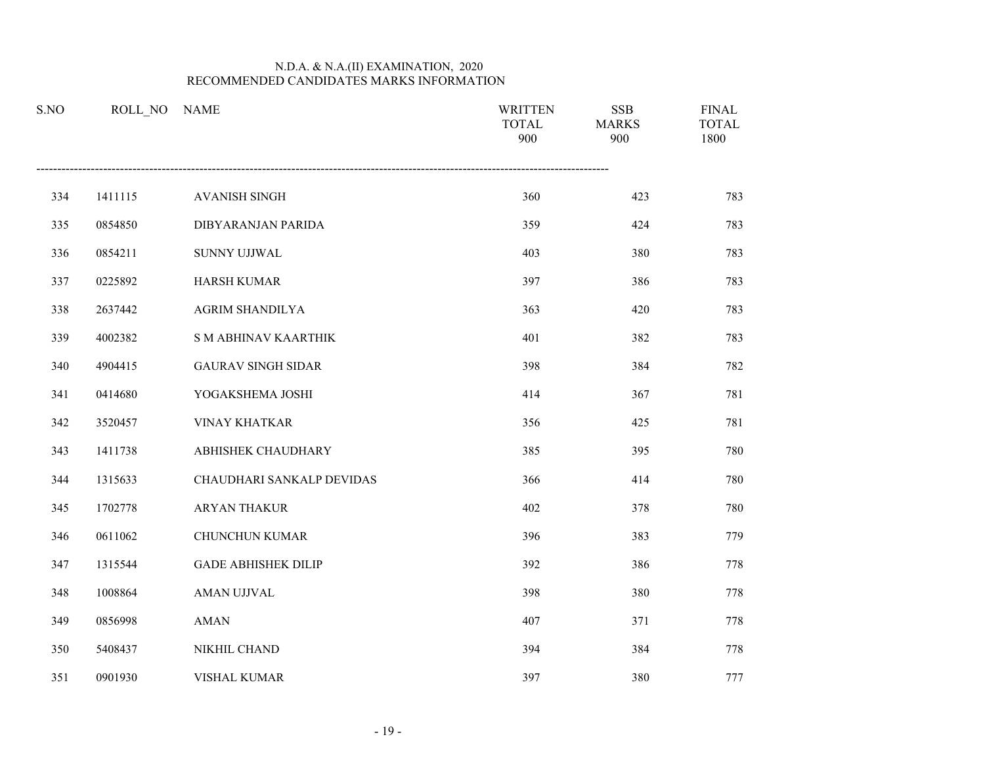| S.NO | ROLL NO | <b>NAME</b>                 | <b>WRITTEN</b><br><b>TOTAL</b><br>900 | <b>SSB</b><br><b>MARKS</b><br>900 | <b>FINAL</b><br><b>TOTAL</b><br>1800 |
|------|---------|-----------------------------|---------------------------------------|-----------------------------------|--------------------------------------|
| 334  | 1411115 | <b>AVANISH SINGH</b>        | 360                                   | 423                               | 783                                  |
| 335  | 0854850 | DIBYARANJAN PARIDA          | 359                                   | 424                               | 783                                  |
| 336  | 0854211 | <b>SUNNY UJJWAL</b>         | 403                                   | 380                               | 783                                  |
| 337  | 0225892 | <b>HARSH KUMAR</b>          | 397                                   | 386                               | 783                                  |
| 338  | 2637442 | <b>AGRIM SHANDILYA</b>      | 363                                   | 420                               | 783                                  |
| 339  | 4002382 | <b>S M ABHINAV KAARTHIK</b> | 401                                   | 382                               | 783                                  |
| 340  | 4904415 | <b>GAURAV SINGH SIDAR</b>   | 398                                   | 384                               | 782                                  |
| 341  | 0414680 | YOGAKSHEMA JOSHI            | 414                                   | 367                               | 781                                  |
| 342  | 3520457 | <b>VINAY KHATKAR</b>        | 356                                   | 425                               | 781                                  |
| 343  | 1411738 | <b>ABHISHEK CHAUDHARY</b>   | 385                                   | 395                               | 780                                  |
| 344  | 1315633 | CHAUDHARI SANKALP DEVIDAS   | 366                                   | 414                               | 780                                  |
| 345  | 1702778 | ARYAN THAKUR                | 402                                   | 378                               | 780                                  |
| 346  | 0611062 | CHUNCHUN KUMAR              | 396                                   | 383                               | 779                                  |
| 347  | 1315544 | <b>GADE ABHISHEK DILIP</b>  | 392                                   | 386                               | 778                                  |
| 348  | 1008864 | AMAN UJJVAL                 | 398                                   | 380                               | 778                                  |
| 349  | 0856998 | <b>AMAN</b>                 | 407                                   | 371                               | 778                                  |
| 350  | 5408437 | NIKHIL CHAND                | 394                                   | 384                               | 778                                  |
| 351  | 0901930 | VISHAL KUMAR                | 397                                   | 380                               | 777                                  |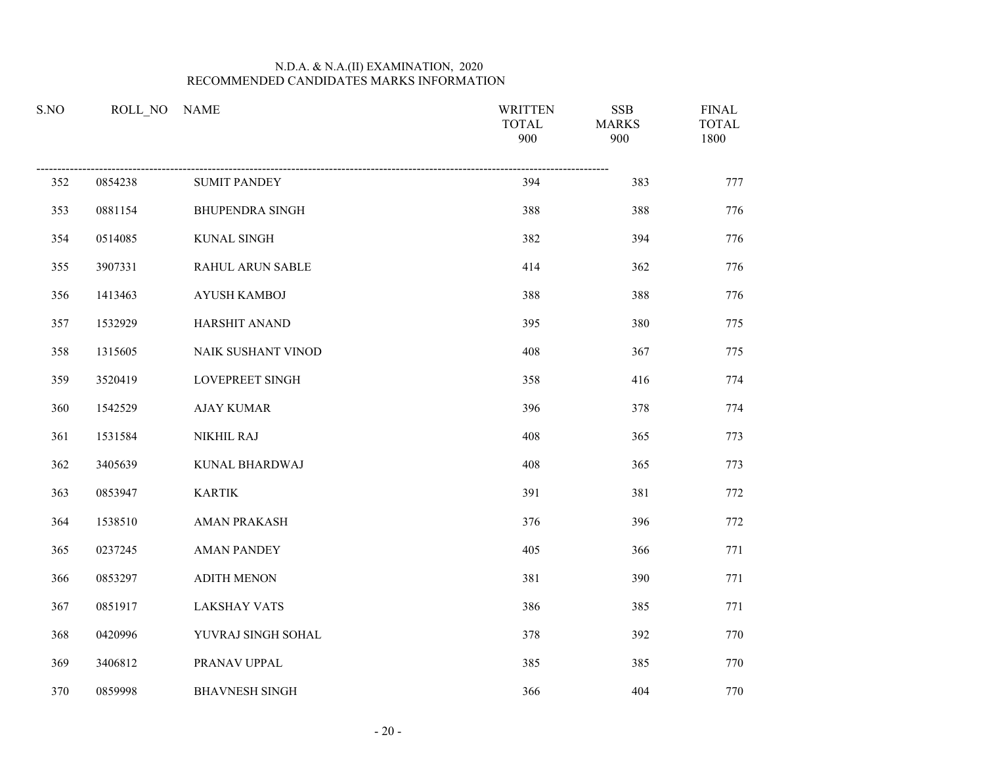| S.NO |         | ROLL_NO NAME           | <b>WRITTEN</b><br><b>TOTAL</b><br>900 | <b>SSB</b><br><b>MARKS</b><br>900 | <b>FINAL</b><br><b>TOTAL</b><br>1800 |
|------|---------|------------------------|---------------------------------------|-----------------------------------|--------------------------------------|
| 352  | 0854238 | <b>SUMIT PANDEY</b>    | 394                                   | 383                               | 777                                  |
| 353  | 0881154 | <b>BHUPENDRA SINGH</b> | 388                                   | 388                               | 776                                  |
| 354  | 0514085 | KUNAL SINGH            | 382                                   | 394                               | 776                                  |
| 355  | 3907331 | RAHUL ARUN SABLE       | 414                                   | 362                               | 776                                  |
| 356  | 1413463 | <b>AYUSH KAMBOJ</b>    | 388                                   | 388                               | 776                                  |
| 357  | 1532929 | HARSHIT ANAND          | 395                                   | 380                               | 775                                  |
| 358  | 1315605 | NAIK SUSHANT VINOD     | 408                                   | 367                               | 775                                  |
| 359  | 3520419 | <b>LOVEPREET SINGH</b> | 358                                   | 416                               | 774                                  |
| 360  | 1542529 | <b>AJAY KUMAR</b>      | 396                                   | 378                               | 774                                  |
| 361  | 1531584 | NIKHIL RAJ             | 408                                   | 365                               | 773                                  |
| 362  | 3405639 | KUNAL BHARDWAJ         | 408                                   | 365                               | 773                                  |
| 363  | 0853947 | <b>KARTIK</b>          | 391                                   | 381                               | 772                                  |
| 364  | 1538510 | <b>AMAN PRAKASH</b>    | 376                                   | 396                               | 772                                  |
| 365  | 0237245 | <b>AMAN PANDEY</b>     | 405                                   | 366                               | 771                                  |
| 366  | 0853297 | <b>ADITH MENON</b>     | 381                                   | 390                               | 771                                  |
| 367  | 0851917 | <b>LAKSHAY VATS</b>    | 386                                   | 385                               | 771                                  |
| 368  | 0420996 | YUVRAJ SINGH SOHAL     | 378                                   | 392                               | 770                                  |
| 369  | 3406812 | PRANAV UPPAL           | 385                                   | 385                               | 770                                  |
| 370  | 0859998 | <b>BHAVNESH SINGH</b>  | 366                                   | 404                               | 770                                  |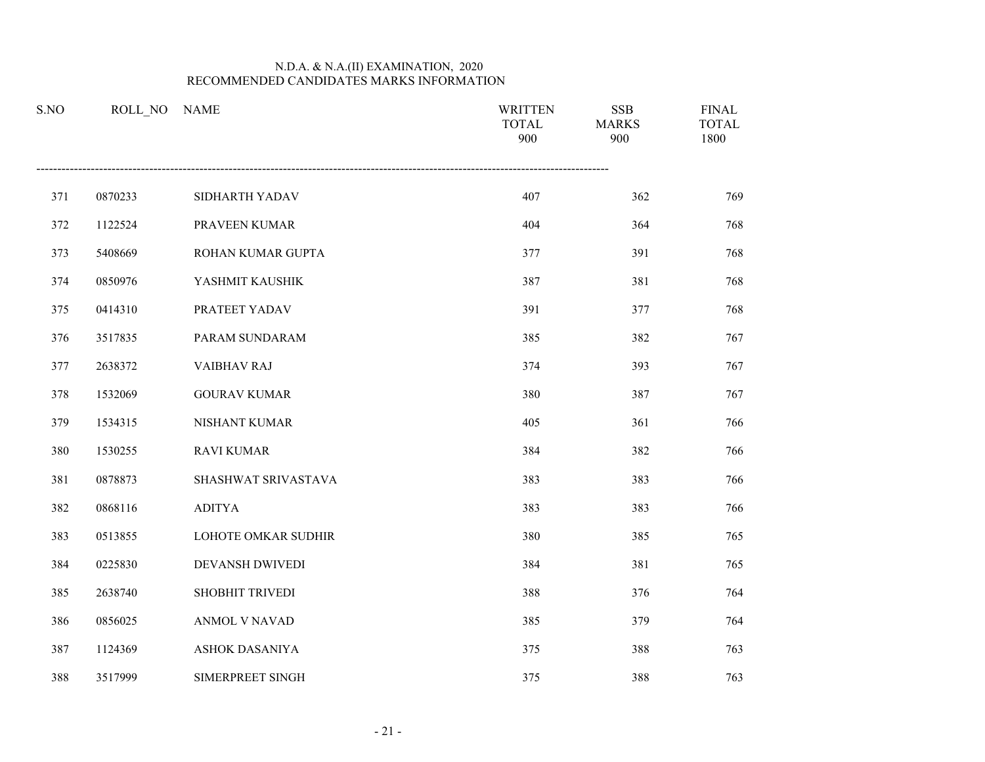| S.NO | ROLL_NO | <b>NAME</b>            | <b>WRITTEN</b><br><b>TOTAL</b><br>900 | <b>SSB</b><br><b>MARKS</b><br>900 | <b>FINAL</b><br><b>TOTAL</b><br>1800 |
|------|---------|------------------------|---------------------------------------|-----------------------------------|--------------------------------------|
| 371  | 0870233 | SIDHARTH YADAV         | 407                                   | 362                               | 769                                  |
| 372  | 1122524 | PRAVEEN KUMAR          | 404                                   | 364                               | 768                                  |
| 373  | 5408669 | ROHAN KUMAR GUPTA      | 377                                   | 391                               | 768                                  |
| 374  | 0850976 | YASHMIT KAUSHIK        | 387                                   | 381                               | 768                                  |
| 375  | 0414310 | PRATEET YADAV          | 391                                   | 377                               | 768                                  |
| 376  | 3517835 | PARAM SUNDARAM         | 385                                   | 382                               | 767                                  |
| 377  | 2638372 | <b>VAIBHAV RAJ</b>     | 374                                   | 393                               | 767                                  |
| 378  | 1532069 | <b>GOURAV KUMAR</b>    | 380                                   | 387                               | 767                                  |
| 379  | 1534315 | NISHANT KUMAR          | 405                                   | 361                               | 766                                  |
| 380  | 1530255 | <b>RAVI KUMAR</b>      | 384                                   | 382                               | 766                                  |
| 381  | 0878873 | SHASHWAT SRIVASTAVA    | 383                                   | 383                               | 766                                  |
| 382  | 0868116 | <b>ADITYA</b>          | 383                                   | 383                               | 766                                  |
| 383  | 0513855 | LOHOTE OMKAR SUDHIR    | 380                                   | 385                               | 765                                  |
| 384  | 0225830 | <b>DEVANSH DWIVEDI</b> | 384                                   | 381                               | 765                                  |
| 385  | 2638740 | SHOBHIT TRIVEDI        | 388                                   | 376                               | 764                                  |
| 386  | 0856025 | ANMOL V NAVAD          | 385                                   | 379                               | 764                                  |
| 387  | 1124369 | ASHOK DASANIYA         | 375                                   | 388                               | 763                                  |
| 388  | 3517999 | SIMERPREET SINGH       | 375                                   | 388                               | 763                                  |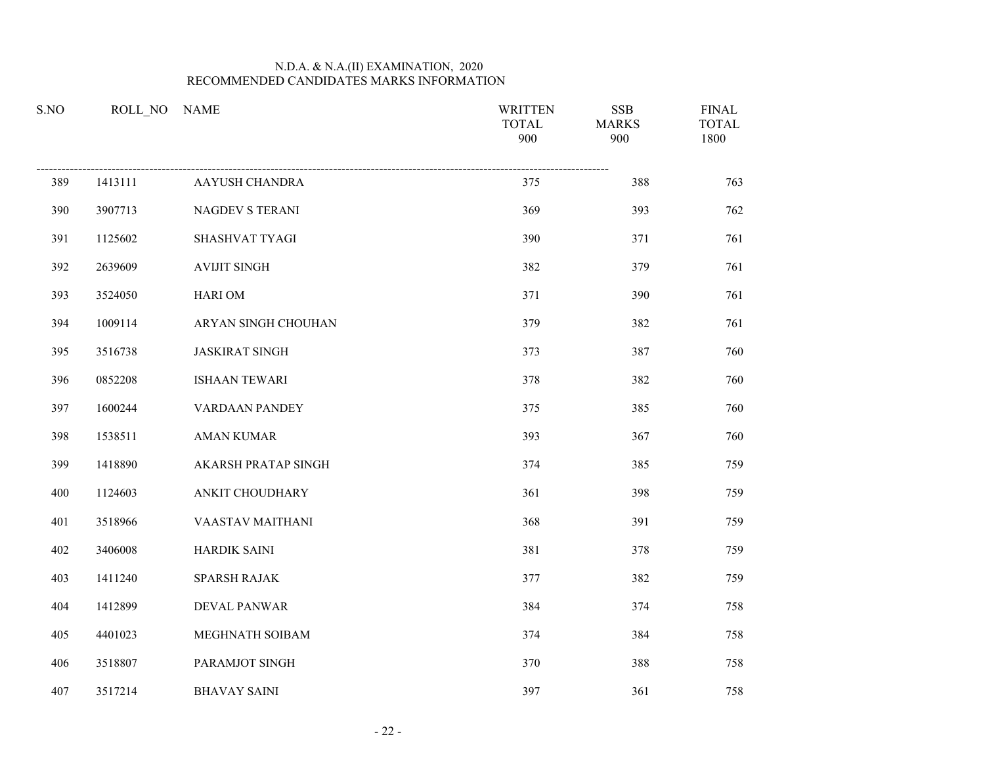| S.NO |         | ROLL_NO NAME           | <b>WRITTEN</b><br><b>TOTAL</b><br>900 | <b>SSB</b><br><b>MARKS</b><br>900 | <b>FINAL</b><br><b>TOTAL</b><br>1800 |
|------|---------|------------------------|---------------------------------------|-----------------------------------|--------------------------------------|
| 389  | 1413111 | AAYUSH CHANDRA         | 375                                   | 388                               | 763                                  |
| 390  | 3907713 | <b>NAGDEV S TERANI</b> | 369                                   | 393                               | 762                                  |
| 391  | 1125602 | SHASHVAT TYAGI         | 390                                   | 371                               | 761                                  |
| 392  | 2639609 | <b>AVIJIT SINGH</b>    | 382                                   | 379                               | 761                                  |
| 393  | 3524050 | <b>HARIOM</b>          | 371                                   | 390                               | 761                                  |
| 394  | 1009114 | ARYAN SINGH CHOUHAN    | 379                                   | 382                               | 761                                  |
| 395  | 3516738 | <b>JASKIRAT SINGH</b>  | 373                                   | 387                               | 760                                  |
| 396  | 0852208 | <b>ISHAAN TEWARI</b>   | 378                                   | 382                               | 760                                  |
| 397  | 1600244 | VARDAAN PANDEY         | 375                                   | 385                               | 760                                  |
| 398  | 1538511 | <b>AMAN KUMAR</b>      | 393                                   | 367                               | 760                                  |
| 399  | 1418890 | AKARSH PRATAP SINGH    | 374                                   | 385                               | 759                                  |
| 400  | 1124603 | ANKIT CHOUDHARY        | 361                                   | 398                               | 759                                  |
| 401  | 3518966 | VAASTAV MAITHANI       | 368                                   | 391                               | 759                                  |
| 402  | 3406008 | HARDIK SAINI           | 381                                   | 378                               | 759                                  |
| 403  | 1411240 | SPARSH RAJAK           | 377                                   | 382                               | 759                                  |
| 404  | 1412899 | <b>DEVAL PANWAR</b>    | 384                                   | 374                               | 758                                  |
| 405  | 4401023 | MEGHNATH SOIBAM        | 374                                   | 384                               | 758                                  |
| 406  | 3518807 | PARAMJOT SINGH         | 370                                   | 388                               | 758                                  |
| 407  | 3517214 | <b>BHAVAY SAINI</b>    | 397                                   | 361                               | 758                                  |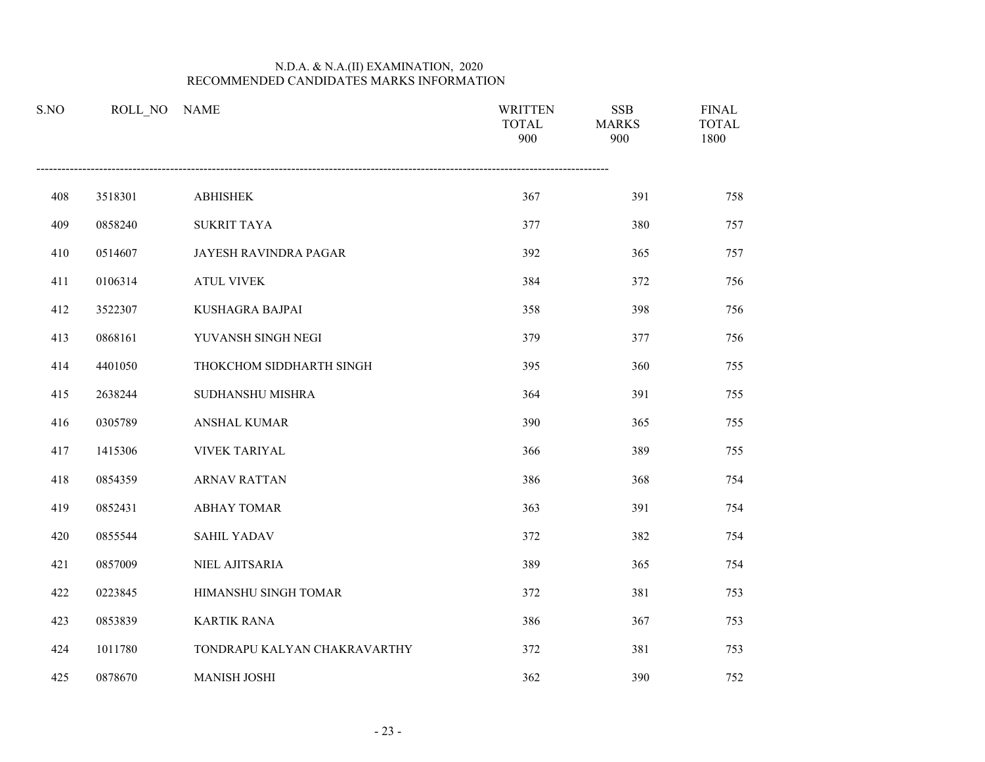| S.NO | ROLL NO | <b>NAME</b>                  | <b>WRITTEN</b><br><b>TOTAL</b><br>900 | <b>SSB</b><br><b>MARKS</b><br>900 | <b>FINAL</b><br><b>TOTAL</b><br>1800 |
|------|---------|------------------------------|---------------------------------------|-----------------------------------|--------------------------------------|
| 408  | 3518301 | <b>ABHISHEK</b>              | 367                                   | 391                               | 758                                  |
| 409  | 0858240 | <b>SUKRIT TAYA</b>           | 377                                   | 380                               | 757                                  |
| 410  | 0514607 | JAYESH RAVINDRA PAGAR        | 392                                   | 365                               | 757                                  |
| 411  | 0106314 | <b>ATUL VIVEK</b>            | 384                                   | 372                               | 756                                  |
| 412  | 3522307 | KUSHAGRA BAJPAI              | 358                                   | 398                               | 756                                  |
| 413  | 0868161 | YUVANSH SINGH NEGI           | 379                                   | 377                               | 756                                  |
| 414  | 4401050 | THOKCHOM SIDDHARTH SINGH     | 395                                   | 360                               | 755                                  |
| 415  | 2638244 | SUDHANSHU MISHRA             | 364                                   | 391                               | 755                                  |
| 416  | 0305789 | <b>ANSHAL KUMAR</b>          | 390                                   | 365                               | 755                                  |
| 417  | 1415306 | <b>VIVEK TARIYAL</b>         | 366                                   | 389                               | 755                                  |
| 418  | 0854359 | <b>ARNAV RATTAN</b>          | 386                                   | 368                               | 754                                  |
| 419  | 0852431 | <b>ABHAY TOMAR</b>           | 363                                   | 391                               | 754                                  |
| 420  | 0855544 | <b>SAHIL YADAV</b>           | 372                                   | 382                               | 754                                  |
| 421  | 0857009 | NIEL AJITSARIA               | 389                                   | 365                               | 754                                  |
| 422  | 0223845 | HIMANSHU SINGH TOMAR         | 372                                   | 381                               | 753                                  |
| 423  | 0853839 | <b>KARTIK RANA</b>           | 386                                   | 367                               | 753                                  |
| 424  | 1011780 | TONDRAPU KALYAN CHAKRAVARTHY | 372                                   | 381                               | 753                                  |
| 425  | 0878670 | <b>MANISH JOSHI</b>          | 362                                   | 390                               | 752                                  |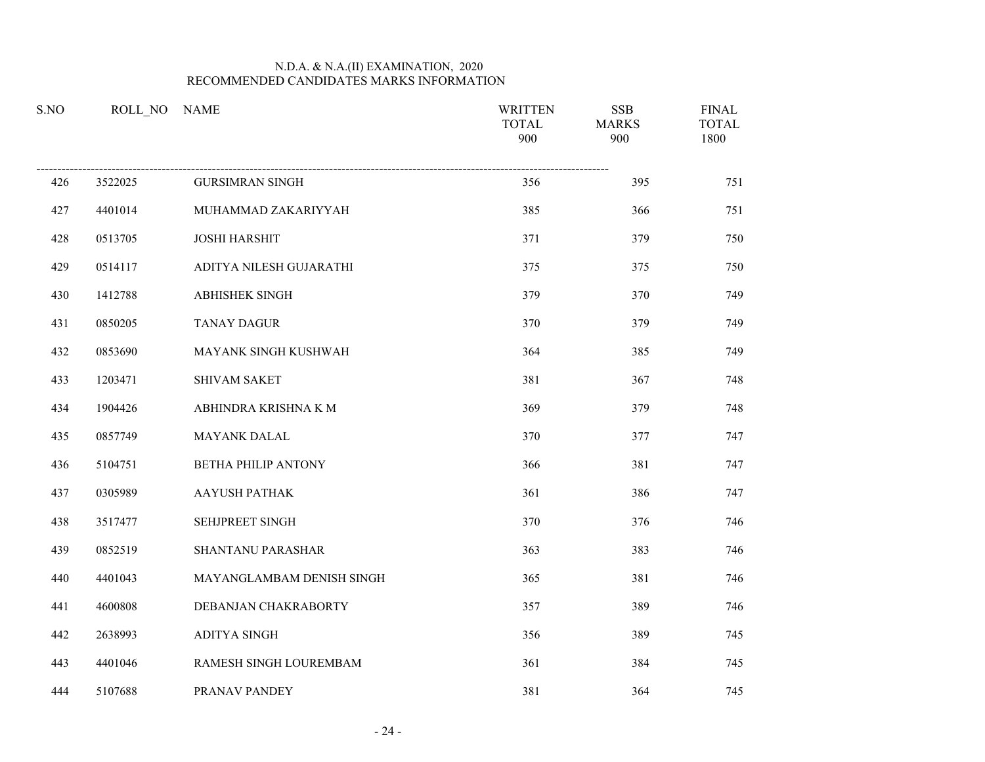| S.NO |         | ROLL NO NAME               | <b>WRITTEN</b><br><b>TOTAL</b><br>900 | <b>SSB</b><br><b>MARKS</b><br>900 | <b>FINAL</b><br><b>TOTAL</b><br>1800 |
|------|---------|----------------------------|---------------------------------------|-----------------------------------|--------------------------------------|
| 426  | 3522025 | <b>GURSIMRAN SINGH</b>     | 356                                   | 395                               | 751                                  |
| 427  | 4401014 | MUHAMMAD ZAKARIYYAH        | 385                                   | 366                               | 751                                  |
| 428  | 0513705 | <b>JOSHI HARSHIT</b>       | 371                                   | 379                               | 750                                  |
| 429  | 0514117 | ADITYA NILESH GUJARATHI    | 375                                   | 375                               | 750                                  |
| 430  | 1412788 | ABHISHEK SINGH             | 379                                   | 370                               | 749                                  |
| 431  | 0850205 | <b>TANAY DAGUR</b>         | 370                                   | 379                               | 749                                  |
| 432  | 0853690 | MAYANK SINGH KUSHWAH       | 364                                   | 385                               | 749                                  |
| 433  | 1203471 | <b>SHIVAM SAKET</b>        | 381                                   | 367                               | 748                                  |
| 434  | 1904426 | ABHINDRA KRISHNA K M       | 369                                   | 379                               | 748                                  |
| 435  | 0857749 | MAYANK DALAL               | 370                                   | 377                               | 747                                  |
| 436  | 5104751 | <b>BETHA PHILIP ANTONY</b> | 366                                   | 381                               | 747                                  |
| 437  | 0305989 | <b>AAYUSH PATHAK</b>       | 361                                   | 386                               | 747                                  |
| 438  | 3517477 | SEHJPREET SINGH            | 370                                   | 376                               | 746                                  |
| 439  | 0852519 | <b>SHANTANU PARASHAR</b>   | 363                                   | 383                               | 746                                  |
| 440  | 4401043 | MAYANGLAMBAM DENISH SINGH  | 365                                   | 381                               | 746                                  |
| 441  | 4600808 | DEBANJAN CHAKRABORTY       | 357                                   | 389                               | 746                                  |
| 442  | 2638993 | <b>ADITYA SINGH</b>        | 356                                   | 389                               | 745                                  |
| 443  | 4401046 | RAMESH SINGH LOUREMBAM     | 361                                   | 384                               | 745                                  |
| 444  | 5107688 | PRANAV PANDEY              | 381                                   | 364                               | 745                                  |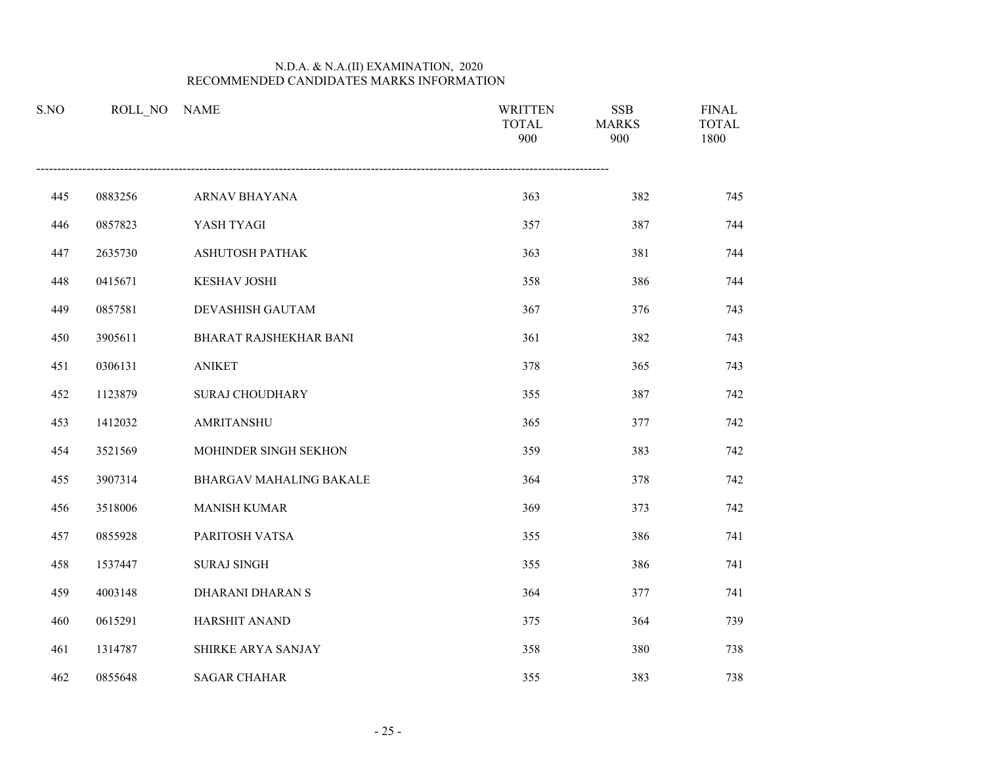| S.NO | ROLL NO | <b>NAME</b>                    | <b>WRITTEN</b><br><b>TOTAL</b><br>900 | <b>SSB</b><br><b>MARKS</b><br>900 | <b>FINAL</b><br><b>TOTAL</b><br>1800 |
|------|---------|--------------------------------|---------------------------------------|-----------------------------------|--------------------------------------|
| 445  | 0883256 | ARNAV BHAYANA                  | 363                                   | 382                               | 745                                  |
| 446  | 0857823 | YASH TYAGI                     | 357                                   | 387                               | 744                                  |
| 447  | 2635730 | ASHUTOSH PATHAK                | 363                                   | 381                               | 744                                  |
| 448  | 0415671 | KESHAV JOSHI                   | 358                                   | 386                               | 744                                  |
| 449  | 0857581 | DEVASHISH GAUTAM               | 367                                   | 376                               | 743                                  |
| 450  | 3905611 | BHARAT RAJSHEKHAR BANI         | 361                                   | 382                               | 743                                  |
| 451  | 0306131 | <b>ANIKET</b>                  | 378                                   | 365                               | 743                                  |
| 452  | 1123879 | <b>SURAJ CHOUDHARY</b>         | 355                                   | 387                               | 742                                  |
| 453  | 1412032 | AMRITANSHU                     | 365                                   | 377                               | 742                                  |
| 454  | 3521569 | MOHINDER SINGH SEKHON          | 359                                   | 383                               | 742                                  |
| 455  | 3907314 | <b>BHARGAV MAHALING BAKALE</b> | 364                                   | 378                               | 742                                  |
| 456  | 3518006 | <b>MANISH KUMAR</b>            | 369                                   | 373                               | 742                                  |
| 457  | 0855928 | PARITOSH VATSA                 | 355                                   | 386                               | 741                                  |
| 458  | 1537447 | <b>SURAJ SINGH</b>             | 355                                   | 386                               | 741                                  |
| 459  | 4003148 | <b>DHARANI DHARAN S</b>        | 364                                   | 377                               | 741                                  |
| 460  | 0615291 | HARSHIT ANAND                  | 375                                   | 364                               | 739                                  |
| 461  | 1314787 | SHIRKE ARYA SANJAY             | 358                                   | 380                               | 738                                  |
| 462  | 0855648 | <b>SAGAR CHAHAR</b>            | 355                                   | 383                               | 738                                  |